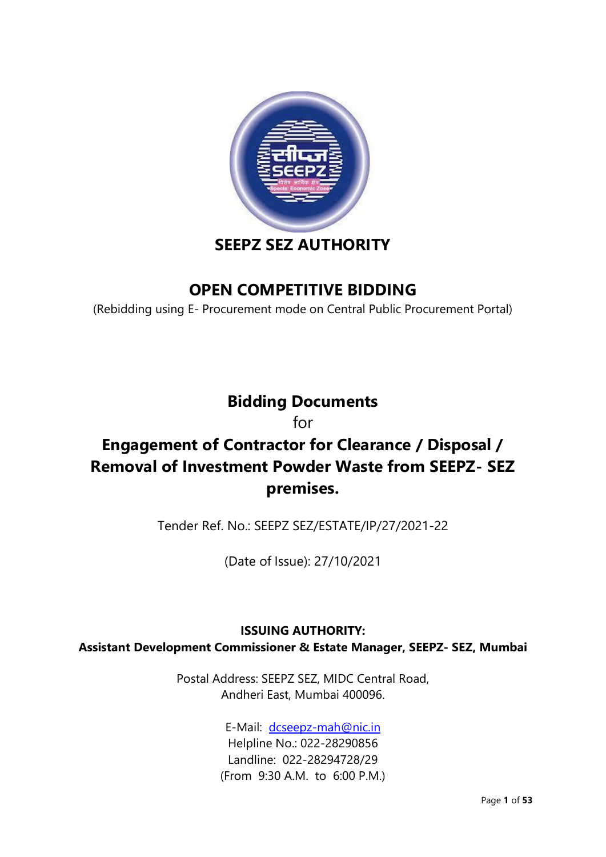

# **SEEPZ SEZ AUTHORITY**

# **OPEN COMPETITIVE BIDDING**

(Rebidding using E- Procurement mode on Central Public Procurement Portal)

# **Bidding Documents**

for

# **Engagement of Contractor for Clearance / Disposal / Removal of Investment Powder Waste from SEEPZ- SEZ premises.**

Tender Ref. No.: SEEPZ SEZ/ESTATE/IP/27/2021-22

(Date of Issue): 27/10/2021

### **ISSUING AUTHORITY: Assistant Development Commissioner & Estate Manager, SEEPZ- SEZ, Mumbai**

Postal Address: SEEPZ SEZ, MIDC Central Road, Andheri East, Mumbai 400096.

> E-Mail: [dcseepz-mah@nic.in](mailto:dcseepz-mah@nic.in) Helpline No.: 022-28290856 Landline: 022-28294728/29 (From 9:30 A.M. to 6:00 P.M.)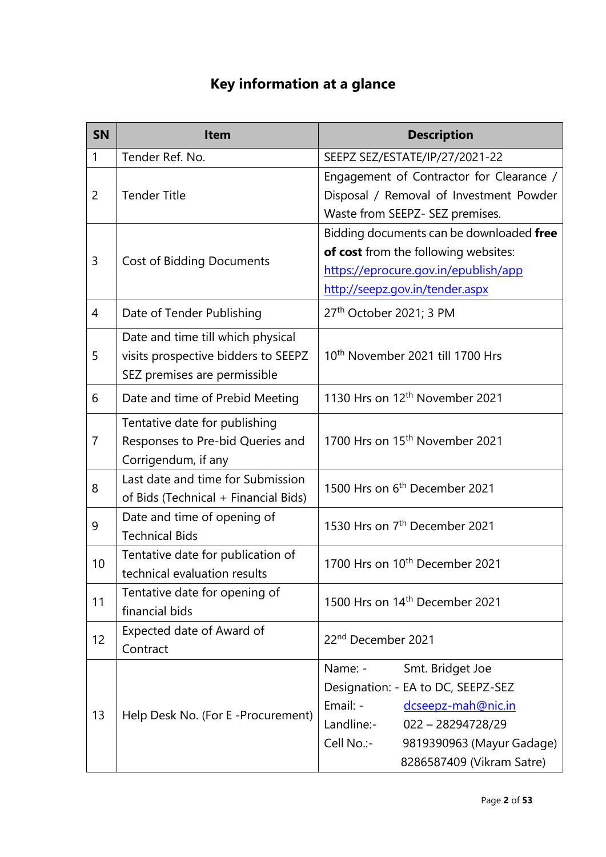# **Key information at a glance**

| <b>SN</b>      | <b>Item</b>                                                                                              | <b>Description</b>                                                                                                                                                                                               |
|----------------|----------------------------------------------------------------------------------------------------------|------------------------------------------------------------------------------------------------------------------------------------------------------------------------------------------------------------------|
| $\mathbf{1}$   | Tender Ref. No.                                                                                          | SEEPZ SEZ/ESTATE/IP/27/2021-22                                                                                                                                                                                   |
| $\overline{2}$ | <b>Tender Title</b>                                                                                      | Engagement of Contractor for Clearance /<br>Disposal / Removal of Investment Powder<br>Waste from SEEPZ- SEZ premises.                                                                                           |
| 3              | <b>Cost of Bidding Documents</b>                                                                         | Bidding documents can be downloaded free<br>of cost from the following websites:<br>https://eprocure.gov.in/epublish/app<br>http://seepz.gov.in/tender.aspx                                                      |
| 4              | Date of Tender Publishing                                                                                | 27 <sup>th</sup> October 2021; 3 PM                                                                                                                                                                              |
| 5              | Date and time till which physical<br>visits prospective bidders to SEEPZ<br>SEZ premises are permissible | 10 <sup>th</sup> November 2021 till 1700 Hrs                                                                                                                                                                     |
| 6              | Date and time of Prebid Meeting                                                                          | 1130 Hrs on 12 <sup>th</sup> November 2021                                                                                                                                                                       |
| $\overline{7}$ | Tentative date for publishing<br>Responses to Pre-bid Queries and<br>Corrigendum, if any                 | 1700 Hrs on 15 <sup>th</sup> November 2021                                                                                                                                                                       |
| 8              | Last date and time for Submission<br>of Bids (Technical + Financial Bids)                                | 1500 Hrs on 6 <sup>th</sup> December 2021                                                                                                                                                                        |
| 9              | Date and time of opening of<br><b>Technical Bids</b>                                                     | 1530 Hrs on 7 <sup>th</sup> December 2021                                                                                                                                                                        |
| 10             | Tentative date for publication of<br>technical evaluation results                                        | 1700 Hrs on 10 <sup>th</sup> December 2021                                                                                                                                                                       |
| 11             | Tentative date for opening of<br>financial bids                                                          | 1500 Hrs on 14 <sup>th</sup> December 2021                                                                                                                                                                       |
| 12             | Expected date of Award of<br>Contract                                                                    | 22 <sup>nd</sup> December 2021                                                                                                                                                                                   |
| 13             | Help Desk No. (For E-Procurement)                                                                        | Name: -<br>Smt. Bridget Joe<br>Designation: - EA to DC, SEEPZ-SEZ<br>Email: -<br>dcseepz-mah@nic.in<br>Landline:-<br>$022 - 28294728/29$<br>Cell No.:-<br>9819390963 (Mayur Gadage)<br>8286587409 (Vikram Satre) |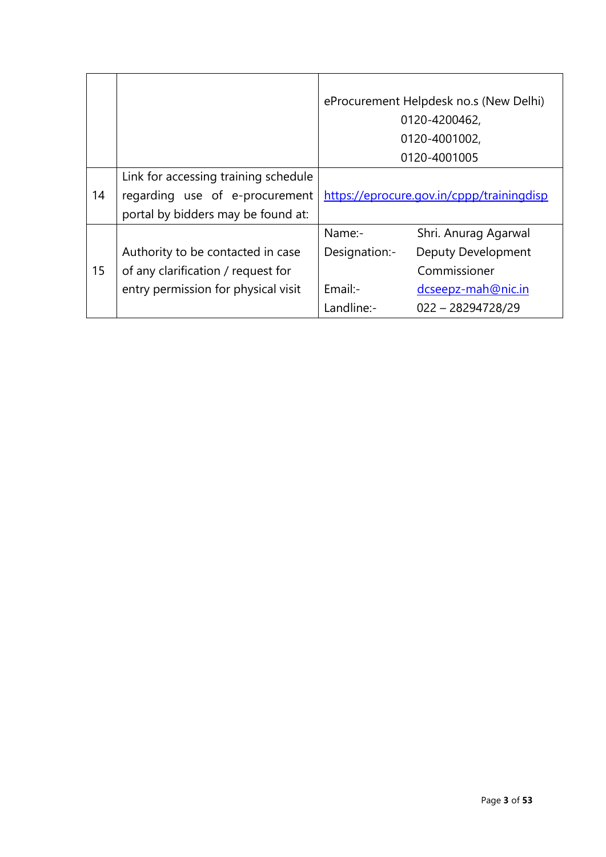|    |                                      |               | eProcurement Helpdesk no.s (New Delhi)<br>0120-4200462,<br>0120-4001002, |
|----|--------------------------------------|---------------|--------------------------------------------------------------------------|
|    |                                      |               | 0120-4001005                                                             |
|    | Link for accessing training schedule |               |                                                                          |
| 14 | regarding use of e-procurement       |               | https://eprocure.gov.in/cppp/trainingdisp                                |
|    | portal by bidders may be found at:   |               |                                                                          |
|    |                                      | Name:-        | Shri. Anurag Agarwal                                                     |
|    | Authority to be contacted in case    | Designation:- | Deputy Development                                                       |
| 15 | of any clarification / request for   |               | Commissioner                                                             |
|    | entry permission for physical visit  | $Email:-$     | dcseepz-mah@nic.in                                                       |
|    |                                      | Landline:-    | $022 - 28294728/29$                                                      |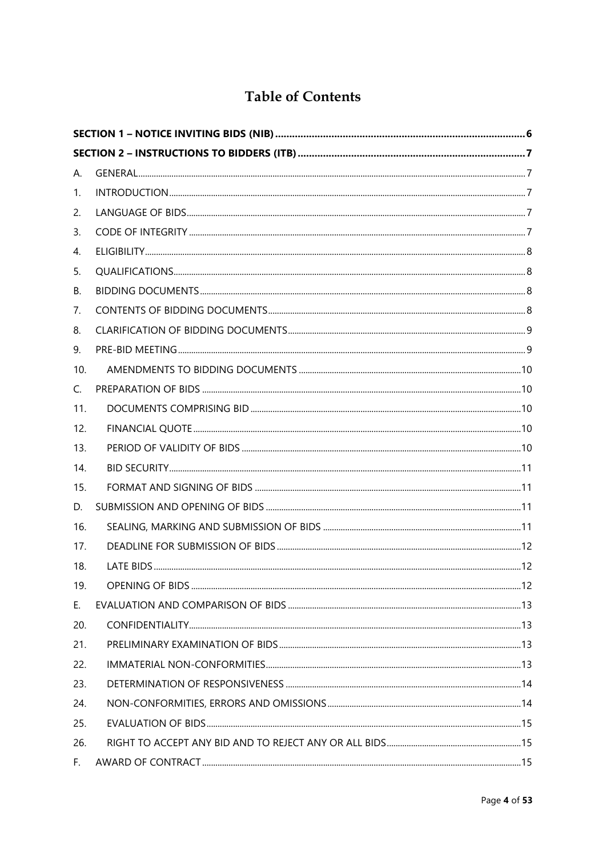## **Table of Contents**

| А.  |  |  |  |
|-----|--|--|--|
| 1.  |  |  |  |
| 2.  |  |  |  |
| 3.  |  |  |  |
| 4.  |  |  |  |
| 5.  |  |  |  |
| В.  |  |  |  |
| 7.  |  |  |  |
| 8.  |  |  |  |
| 9.  |  |  |  |
| 10. |  |  |  |
| C.  |  |  |  |
| 11. |  |  |  |
| 12. |  |  |  |
| 13. |  |  |  |
| 14. |  |  |  |
| 15. |  |  |  |
| D.  |  |  |  |
| 16. |  |  |  |
| 17. |  |  |  |
| 18. |  |  |  |
| 19. |  |  |  |
| Ε.  |  |  |  |
| 20. |  |  |  |
| 21. |  |  |  |
| 22. |  |  |  |
| 23. |  |  |  |
| 24. |  |  |  |
| 25. |  |  |  |
| 26. |  |  |  |
| F.  |  |  |  |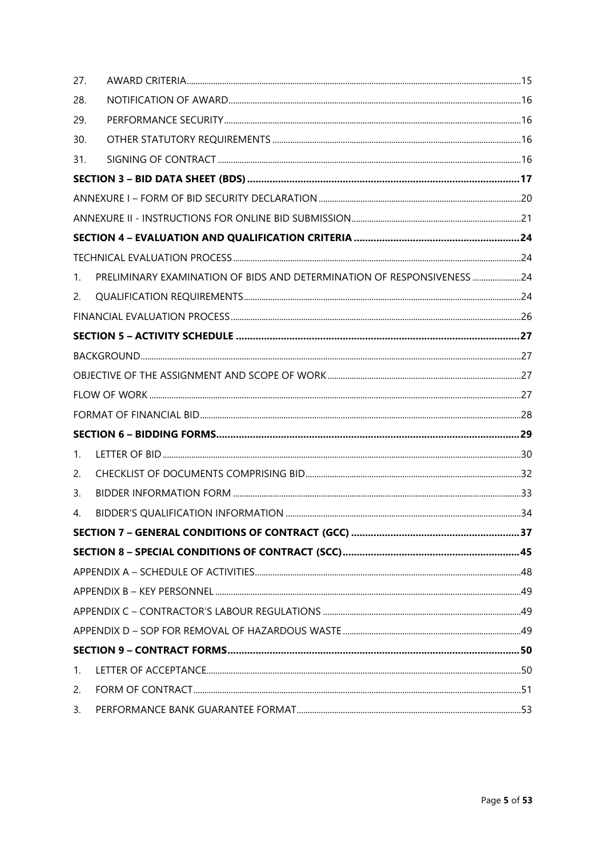| 27. |                                                                        |  |
|-----|------------------------------------------------------------------------|--|
| 28. |                                                                        |  |
| 29. |                                                                        |  |
| 30. |                                                                        |  |
| 31. |                                                                        |  |
|     |                                                                        |  |
|     |                                                                        |  |
|     |                                                                        |  |
|     |                                                                        |  |
|     |                                                                        |  |
| 1.  | PRELIMINARY EXAMINATION OF BIDS AND DETERMINATION OF RESPONSIVENESS 24 |  |
| 2.  |                                                                        |  |
|     |                                                                        |  |
|     |                                                                        |  |
|     |                                                                        |  |
|     |                                                                        |  |
|     |                                                                        |  |
|     |                                                                        |  |
|     |                                                                        |  |
| 1.  |                                                                        |  |
| 2.  |                                                                        |  |
| 3.  |                                                                        |  |
| 4.  |                                                                        |  |
|     |                                                                        |  |
|     |                                                                        |  |
|     |                                                                        |  |
|     |                                                                        |  |
|     |                                                                        |  |
|     |                                                                        |  |
|     |                                                                        |  |
| 1.  |                                                                        |  |
| 2.  |                                                                        |  |
| 3.  |                                                                        |  |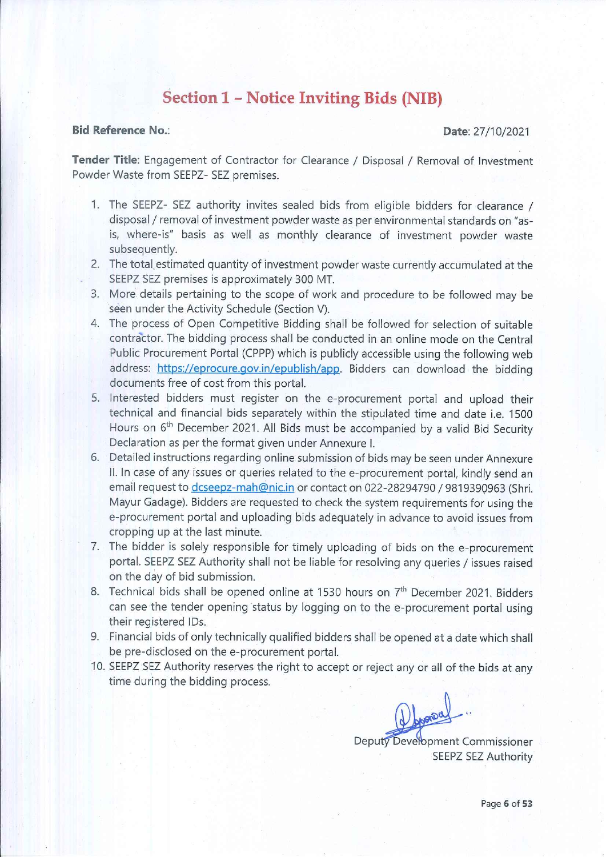## **Section 1 - Notice Inviting Bids (NIB)**

#### **Bid Reference No.:**

#### Date: 27/10/2021

Tender Title: Engagement of Contractor for Clearance / Disposal / Removal of Investment Powder Waste from SEEPZ- SEZ premises.

- 1. The SEEPZ- SEZ authority invites sealed bids from eligible bidders for clearance / disposal / removal of investment powder waste as per environmental standards on "asis, where-is" basis as well as monthly clearance of investment powder waste subsequently.
- 2. The total estimated quantity of investment powder waste currently accumulated at the SEEPZ SEZ premises is approximately 300 MT.
- 3. More details pertaining to the scope of work and procedure to be followed may be seen under the Activity Schedule (Section V).
- 4. The process of Open Competitive Bidding shall be followed for selection of suitable contractor. The bidding process shall be conducted in an online mode on the Central Public Procurement Portal (CPPP) which is publicly accessible using the following web address: https://eprocure.gov.in/epublish/app. Bidders can download the bidding documents free of cost from this portal.
- 5. Interested bidders must register on the e-procurement portal and upload their technical and financial bids separately within the stipulated time and date i.e. 1500 Hours on 6<sup>th</sup> December 2021. All Bids must be accompanied by a valid Bid Security Declaration as per the format given under Annexure I.
- 6. Detailed instructions regarding online submission of bids may be seen under Annexure II. In case of any issues or queries related to the e-procurement portal, kindly send an email request to dcseepz-mah@nic.in or contact on 022-28294790 / 9819390963 (Shri. Mayur Gadage). Bidders are requested to check the system requirements for using the e-procurement portal and uploading bids adequately in advance to avoid issues from cropping up at the last minute.
- 7. The bidder is solely responsible for timely uploading of bids on the e-procurement portal. SEEPZ SEZ Authority shall not be liable for resolving any queries / issues raised on the day of bid submission.
- 8. Technical bids shall be opened online at 1530 hours on 7<sup>th</sup> December 2021. Bidders can see the tender opening status by logging on to the e-procurement portal using their registered IDs.
- 9. Financial bids of only technically qualified bidders shall be opened at a date which shall be pre-disclosed on the e-procurement portal.
- 10. SEEPZ SEZ Authority reserves the right to accept or reject any or all of the bids at any time during the bidding process.

Deputy Development Commissioner **SEEPZ SEZ Authority**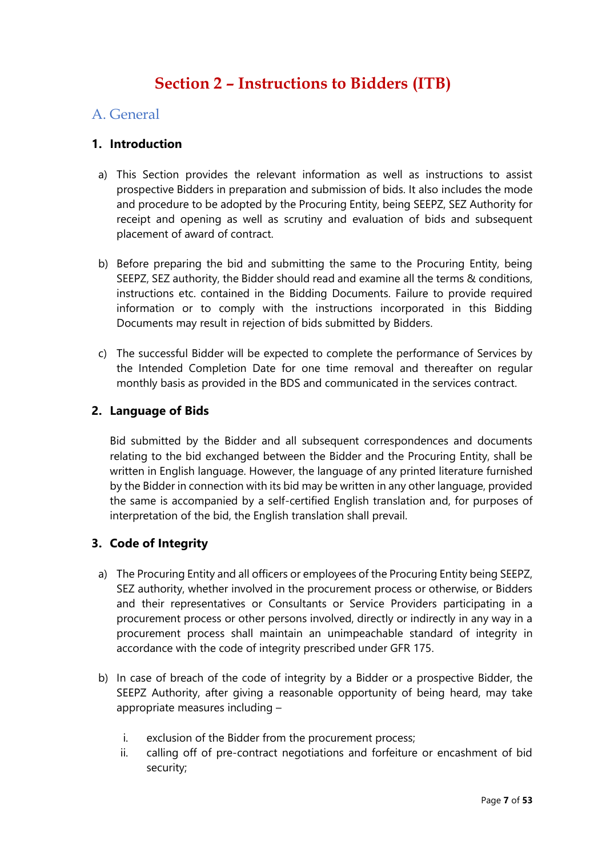# **Section 2 – Instructions to Bidders (ITB)**

### A. General

### **1. Introduction**

- a) This Section provides the relevant information as well as instructions to assist prospective Bidders in preparation and submission of bids. It also includes the mode and procedure to be adopted by the Procuring Entity, being SEEPZ, SEZ Authority for receipt and opening as well as scrutiny and evaluation of bids and subsequent placement of award of contract.
- b) Before preparing the bid and submitting the same to the Procuring Entity, being SEEPZ, SEZ authority, the Bidder should read and examine all the terms & conditions, instructions etc. contained in the Bidding Documents. Failure to provide required information or to comply with the instructions incorporated in this Bidding Documents may result in rejection of bids submitted by Bidders.
- c) The successful Bidder will be expected to complete the performance of Services by the Intended Completion Date for one time removal and thereafter on regular monthly basis as provided in the BDS and communicated in the services contract.

### **2. Language of Bids**

Bid submitted by the Bidder and all subsequent correspondences and documents relating to the bid exchanged between the Bidder and the Procuring Entity, shall be written in English language. However, the language of any printed literature furnished by the Bidder in connection with its bid may be written in any other language, provided the same is accompanied by a self-certified English translation and, for purposes of interpretation of the bid, the English translation shall prevail.

### **3. Code of Integrity**

- a) The Procuring Entity and all officers or employees of the Procuring Entity being SEEPZ, SEZ authority, whether involved in the procurement process or otherwise, or Bidders and their representatives or Consultants or Service Providers participating in a procurement process or other persons involved, directly or indirectly in any way in a procurement process shall maintain an unimpeachable standard of integrity in accordance with the code of integrity prescribed under GFR 175.
- b) In case of breach of the code of integrity by a Bidder or a prospective Bidder, the SEEPZ Authority, after giving a reasonable opportunity of being heard, may take appropriate measures including –
	- i. exclusion of the Bidder from the procurement process;
	- ii. calling off of pre-contract negotiations and forfeiture or encashment of bid security;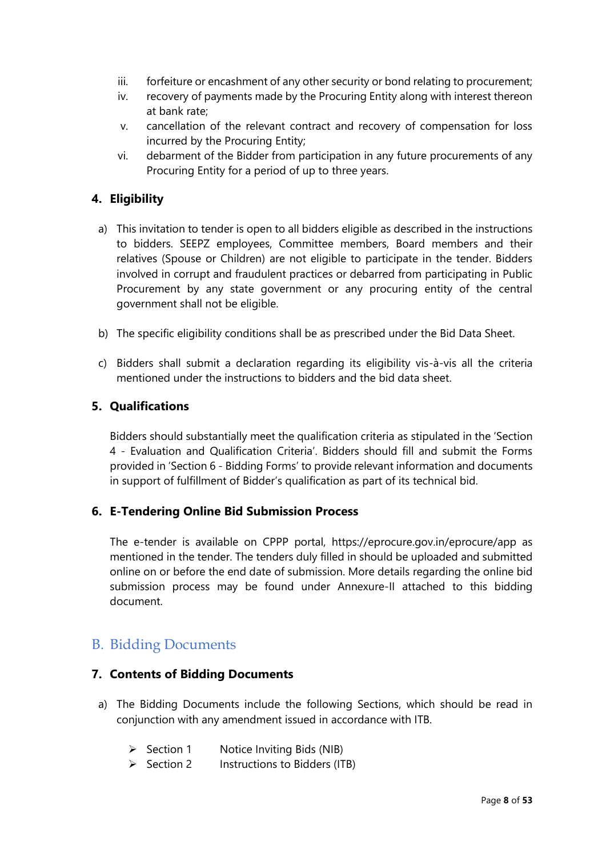- iii. forfeiture or encashment of any other security or bond relating to procurement;
- iv. recovery of payments made by the Procuring Entity along with interest thereon at bank rate;
- v. cancellation of the relevant contract and recovery of compensation for loss incurred by the Procuring Entity;
- vi. debarment of the Bidder from participation in any future procurements of any Procuring Entity for a period of up to three years.

### **4. Eligibility**

- a) This invitation to tender is open to all bidders eligible as described in the instructions to bidders. SEEPZ employees, Committee members, Board members and their relatives (Spouse or Children) are not eligible to participate in the tender. Bidders involved in corrupt and fraudulent practices or debarred from participating in Public Procurement by any state government or any procuring entity of the central government shall not be eligible.
- b) The specific eligibility conditions shall be as prescribed under the Bid Data Sheet.
- c) Bidders shall submit a declaration regarding its eligibility vis-à-vis all the criteria mentioned under the instructions to bidders and the bid data sheet.

### **5. Qualifications**

Bidders should substantially meet the qualification criteria as stipulated in the 'Section 4 - Evaluation and Qualification Criteria'. Bidders should fill and submit the Forms provided in 'Section 6 - Bidding Forms' to provide relevant information and documents in support of fulfillment of Bidder's qualification as part of its technical bid.

### **6. E-Tendering Online Bid Submission Process**

The e-tender is available on CPPP portal, https://eprocure.gov.in/eprocure/app as mentioned in the tender. The tenders duly filled in should be uploaded and submitted online on or before the end date of submission. More details regarding the online bid submission process may be found under Annexure-II attached to this bidding document.

### B. Bidding Documents

#### **7. Contents of Bidding Documents**

- a) The Bidding Documents include the following Sections, which should be read in conjunction with any amendment issued in accordance with ITB.
	- ➢ Section 1 Notice Inviting Bids (NIB)
	- ➢ Section 2 Instructions to Bidders (ITB)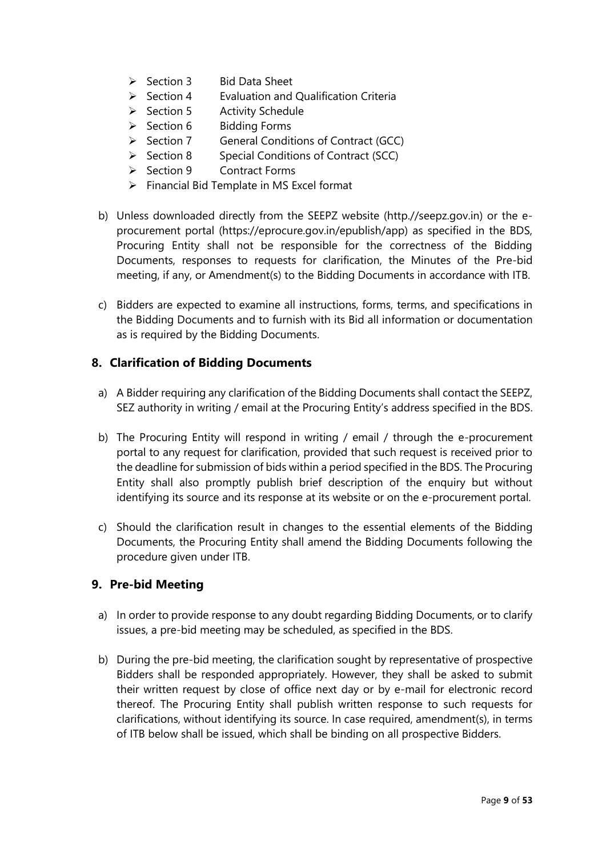- ➢ Section 3 Bid Data Sheet
- $\triangleright$  Section 4 Evaluation and Qualification Criteria
- ➢ Section 5 Activity Schedule
- ➢ Section 6 Bidding Forms
- ➢ Section 7 General Conditions of Contract (GCC)
- ➢ Section 8 Special Conditions of Contract (SCC)
- ➢ Section 9 Contract Forms
- ➢ Financial Bid Template in MS Excel format
- b) Unless downloaded directly from the SEEPZ website (http.//seepz.gov.in) or the eprocurement portal (https://eprocure.gov.in/epublish/app) as specified in the BDS, Procuring Entity shall not be responsible for the correctness of the Bidding Documents, responses to requests for clarification, the Minutes of the Pre-bid meeting, if any, or Amendment(s) to the Bidding Documents in accordance with ITB.
- c) Bidders are expected to examine all instructions, forms, terms, and specifications in the Bidding Documents and to furnish with its Bid all information or documentation as is required by the Bidding Documents.

### **8. Clarification of Bidding Documents**

- a) A Bidder requiring any clarification of the Bidding Documents shall contact the SEEPZ, SEZ authority in writing / email at the Procuring Entity's address specified in the BDS.
- b) The Procuring Entity will respond in writing / email / through the e-procurement portal to any request for clarification, provided that such request is received prior to the deadline for submission of bids within a period specified in the BDS. The Procuring Entity shall also promptly publish brief description of the enquiry but without identifying its source and its response at its website or on the e-procurement portal.
- c) Should the clarification result in changes to the essential elements of the Bidding Documents, the Procuring Entity shall amend the Bidding Documents following the procedure given under ITB.

### **9. Pre-bid Meeting**

- a) In order to provide response to any doubt regarding Bidding Documents, or to clarify issues, a pre-bid meeting may be scheduled, as specified in the BDS.
- b) During the pre-bid meeting, the clarification sought by representative of prospective Bidders shall be responded appropriately. However, they shall be asked to submit their written request by close of office next day or by e-mail for electronic record thereof. The Procuring Entity shall publish written response to such requests for clarifications, without identifying its source. In case required, amendment(s), in terms of ITB below shall be issued, which shall be binding on all prospective Bidders.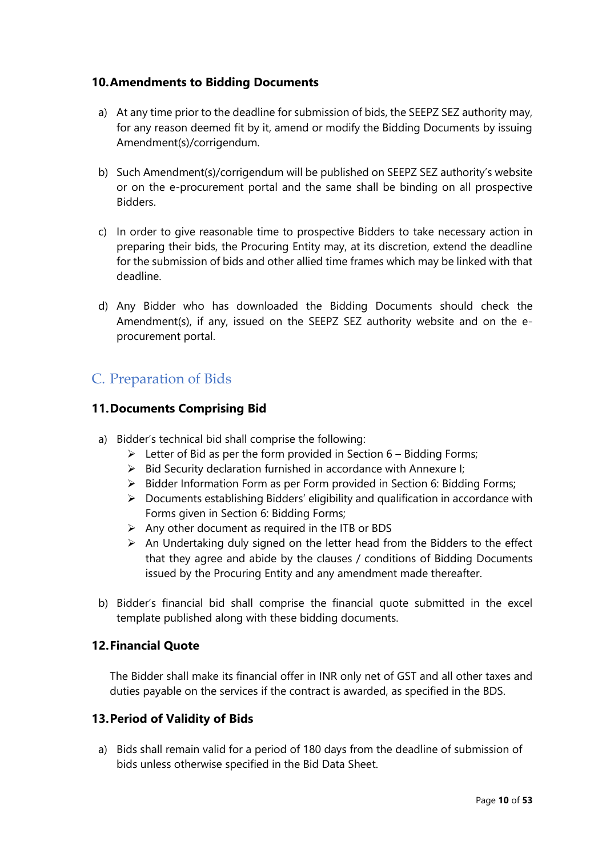### **10.Amendments to Bidding Documents**

- a) At any time prior to the deadline for submission of bids, the SEEPZ SEZ authority may, for any reason deemed fit by it, amend or modify the Bidding Documents by issuing Amendment(s)/corrigendum.
- b) Such Amendment(s)/corrigendum will be published on SEEPZ SEZ authority's website or on the e-procurement portal and the same shall be binding on all prospective Bidders.
- c) In order to give reasonable time to prospective Bidders to take necessary action in preparing their bids, the Procuring Entity may, at its discretion, extend the deadline for the submission of bids and other allied time frames which may be linked with that deadline.
- d) Any Bidder who has downloaded the Bidding Documents should check the Amendment(s), if any, issued on the SEEPZ SEZ authority website and on the eprocurement portal.

### C. Preparation of Bids

### **11.Documents Comprising Bid**

- a) Bidder's technical bid shall comprise the following:
	- $\triangleright$  Letter of Bid as per the form provided in Section 6 Bidding Forms;
	- ➢ Bid Security declaration furnished in accordance with Annexure I;
	- ➢ Bidder Information Form as per Form provided in Section 6: Bidding Forms;
	- ➢ Documents establishing Bidders' eligibility and qualification in accordance with Forms given in Section 6: Bidding Forms;
	- $\triangleright$  Any other document as required in the ITB or BDS
	- $\triangleright$  An Undertaking duly signed on the letter head from the Bidders to the effect that they agree and abide by the clauses / conditions of Bidding Documents issued by the Procuring Entity and any amendment made thereafter.
- b) Bidder's financial bid shall comprise the financial quote submitted in the excel template published along with these bidding documents.

### **12.Financial Quote**

The Bidder shall make its financial offer in INR only net of GST and all other taxes and duties payable on the services if the contract is awarded, as specified in the BDS.

#### **13.Period of Validity of Bids**

a) Bids shall remain valid for a period of 180 days from the deadline of submission of bids unless otherwise specified in the Bid Data Sheet.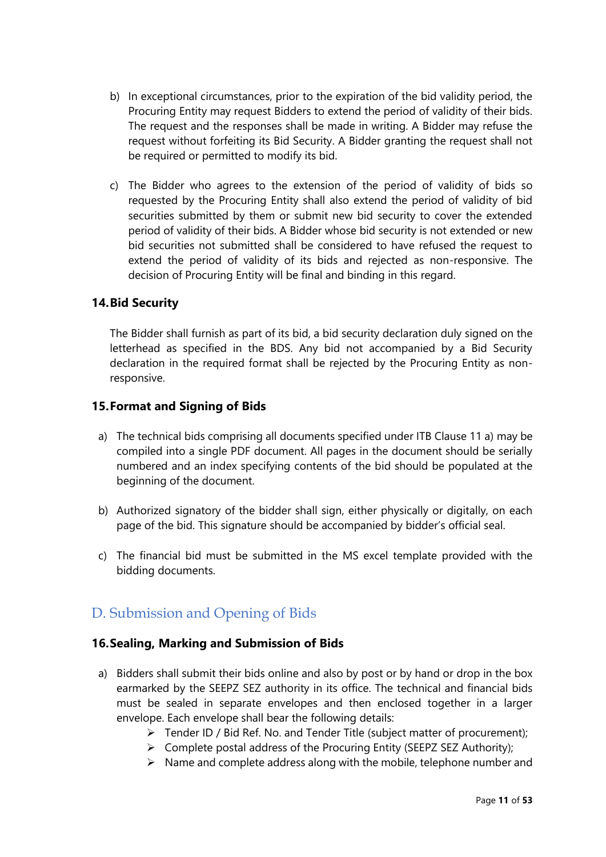- b) In exceptional circumstances, prior to the expiration of the bid validity period, the Procuring Entity may request Bidders to extend the period of validity of their bids. The request and the responses shall be made in writing. A Bidder may refuse the request without forfeiting its Bid Security. A Bidder granting the request shall not be required or permitted to modify its bid.
- c) The Bidder who agrees to the extension of the period of validity of bids so requested by the Procuring Entity shall also extend the period of validity of bid securities submitted by them or submit new bid security to cover the extended period of validity of their bids. A Bidder whose bid security is not extended or new bid securities not submitted shall be considered to have refused the request to extend the period of validity of its bids and rejected as non-responsive. The decision of Procuring Entity will be final and binding in this regard.

### **14.Bid Security**

The Bidder shall furnish as part of its bid, a bid security declaration duly signed on the letterhead as specified in the BDS. Any bid not accompanied by a Bid Security declaration in the required format shall be rejected by the Procuring Entity as nonresponsive.

### **15.Format and Signing of Bids**

- a) The technical bids comprising all documents specified under ITB Clause 11 a) may be compiled into a single PDF document. All pages in the document should be serially numbered and an index specifying contents of the bid should be populated at the beginning of the document.
- b) Authorized signatory of the bidder shall sign, either physically or digitally, on each page of the bid. This signature should be accompanied by bidder's official seal.
- c) The financial bid must be submitted in the MS excel template provided with the bidding documents.

### D. Submission and Opening of Bids

### **16.Sealing, Marking and Submission of Bids**

- a) Bidders shall submit their bids online and also by post or by hand or drop in the box earmarked by the SEEPZ SEZ authority in its office. The technical and financial bids must be sealed in separate envelopes and then enclosed together in a larger envelope. Each envelope shall bear the following details:
	- $\triangleright$  Tender ID / Bid Ref. No. and Tender Title (subject matter of procurement);
	- ➢ Complete postal address of the Procuring Entity (SEEPZ SEZ Authority);
	- $\triangleright$  Name and complete address along with the mobile, telephone number and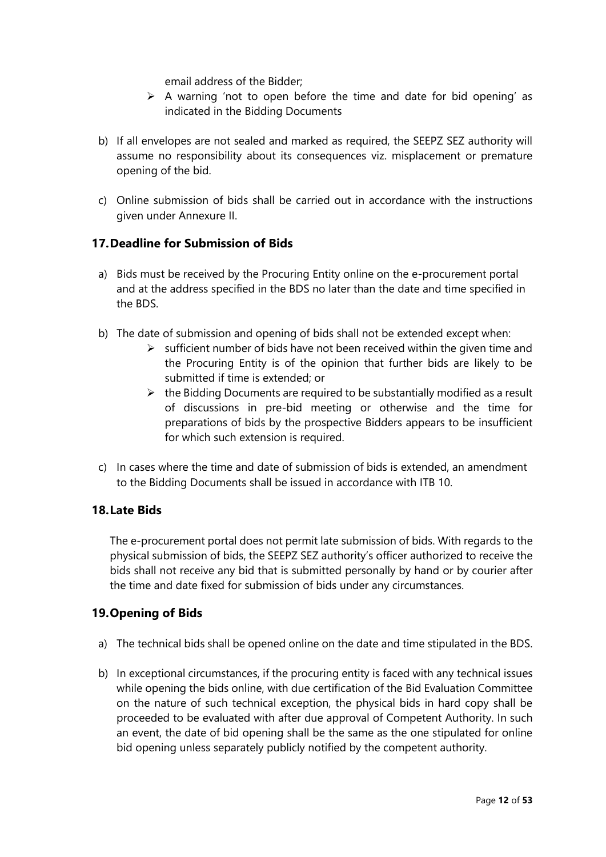email address of the Bidder;

- $\triangleright$  A warning 'not to open before the time and date for bid opening' as indicated in the Bidding Documents
- b) If all envelopes are not sealed and marked as required, the SEEPZ SEZ authority will assume no responsibility about its consequences viz. misplacement or premature opening of the bid.
- c) Online submission of bids shall be carried out in accordance with the instructions given under Annexure II.

### **17.Deadline for Submission of Bids**

- a) Bids must be received by the Procuring Entity online on the e-procurement portal and at the address specified in the BDS no later than the date and time specified in the BDS.
- b) The date of submission and opening of bids shall not be extended except when:
	- $\triangleright$  sufficient number of bids have not been received within the given time and the Procuring Entity is of the opinion that further bids are likely to be submitted if time is extended; or
	- $\triangleright$  the Bidding Documents are required to be substantially modified as a result of discussions in pre-bid meeting or otherwise and the time for preparations of bids by the prospective Bidders appears to be insufficient for which such extension is required.
- c) In cases where the time and date of submission of bids is extended, an amendment to the Bidding Documents shall be issued in accordance with ITB 10.

### **18.Late Bids**

The e-procurement portal does not permit late submission of bids. With regards to the physical submission of bids, the SEEPZ SEZ authority's officer authorized to receive the bids shall not receive any bid that is submitted personally by hand or by courier after the time and date fixed for submission of bids under any circumstances.

### **19.Opening of Bids**

- a) The technical bids shall be opened online on the date and time stipulated in the BDS.
- b) In exceptional circumstances, if the procuring entity is faced with any technical issues while opening the bids online, with due certification of the Bid Evaluation Committee on the nature of such technical exception, the physical bids in hard copy shall be proceeded to be evaluated with after due approval of Competent Authority. In such an event, the date of bid opening shall be the same as the one stipulated for online bid opening unless separately publicly notified by the competent authority.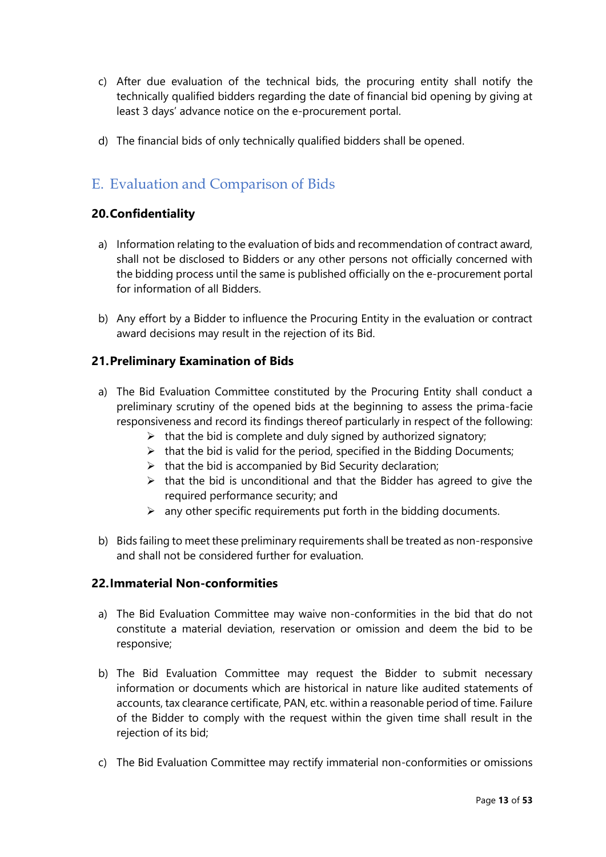- c) After due evaluation of the technical bids, the procuring entity shall notify the technically qualified bidders regarding the date of financial bid opening by giving at least 3 days' advance notice on the e-procurement portal.
- d) The financial bids of only technically qualified bidders shall be opened.

### E. Evaluation and Comparison of Bids

### **20.Confidentiality**

- a) Information relating to the evaluation of bids and recommendation of contract award, shall not be disclosed to Bidders or any other persons not officially concerned with the bidding process until the same is published officially on the e-procurement portal for information of all Bidders.
- b) Any effort by a Bidder to influence the Procuring Entity in the evaluation or contract award decisions may result in the rejection of its Bid.

### **21.Preliminary Examination of Bids**

- a) The Bid Evaluation Committee constituted by the Procuring Entity shall conduct a preliminary scrutiny of the opened bids at the beginning to assess the prima-facie responsiveness and record its findings thereof particularly in respect of the following:
	- $\triangleright$  that the bid is complete and duly signed by authorized signatory;
	- $\triangleright$  that the bid is valid for the period, specified in the Bidding Documents;
	- $\triangleright$  that the bid is accompanied by Bid Security declaration;
	- $\triangleright$  that the bid is unconditional and that the Bidder has agreed to give the required performance security; and
	- $\triangleright$  any other specific requirements put forth in the bidding documents.
- b) Bids failing to meet these preliminary requirements shall be treated as non-responsive and shall not be considered further for evaluation.

### **22.Immaterial Non-conformities**

- a) The Bid Evaluation Committee may waive non-conformities in the bid that do not constitute a material deviation, reservation or omission and deem the bid to be responsive;
- b) The Bid Evaluation Committee may request the Bidder to submit necessary information or documents which are historical in nature like audited statements of accounts, tax clearance certificate, PAN, etc. within a reasonable period of time. Failure of the Bidder to comply with the request within the given time shall result in the rejection of its bid;
- c) The Bid Evaluation Committee may rectify immaterial non-conformities or omissions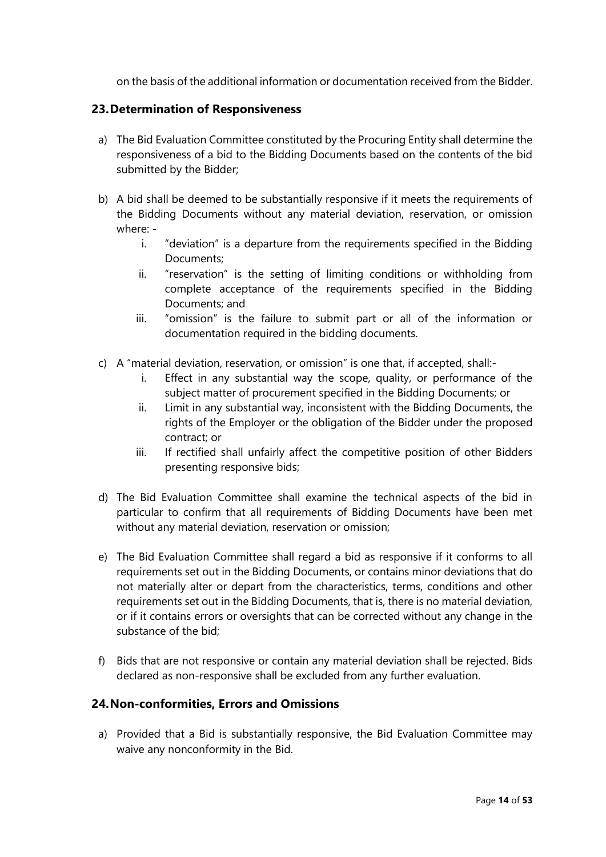on the basis of the additional information or documentation received from the Bidder.

#### **23.Determination of Responsiveness**

- a) The Bid Evaluation Committee constituted by the Procuring Entity shall determine the responsiveness of a bid to the Bidding Documents based on the contents of the bid submitted by the Bidder;
- b) A bid shall be deemed to be substantially responsive if it meets the requirements of the Bidding Documents without any material deviation, reservation, or omission where:
	- i. "deviation" is a departure from the requirements specified in the Bidding Documents;
	- ii. "reservation" is the setting of limiting conditions or withholding from complete acceptance of the requirements specified in the Bidding Documents; and
	- iii. "omission" is the failure to submit part or all of the information or documentation required in the bidding documents.
- c) A "material deviation, reservation, or omission" is one that, if accepted, shall:
	- i. Effect in any substantial way the scope, quality, or performance of the subject matter of procurement specified in the Bidding Documents; or
	- ii. Limit in any substantial way, inconsistent with the Bidding Documents, the rights of the Employer or the obligation of the Bidder under the proposed contract; or
	- iii. If rectified shall unfairly affect the competitive position of other Bidders presenting responsive bids;
- d) The Bid Evaluation Committee shall examine the technical aspects of the bid in particular to confirm that all requirements of Bidding Documents have been met without any material deviation, reservation or omission;
- e) The Bid Evaluation Committee shall regard a bid as responsive if it conforms to all requirements set out in the Bidding Documents, or contains minor deviations that do not materially alter or depart from the characteristics, terms, conditions and other requirements set out in the Bidding Documents, that is, there is no material deviation, or if it contains errors or oversights that can be corrected without any change in the substance of the bid;
- f) Bids that are not responsive or contain any material deviation shall be rejected. Bids declared as non-responsive shall be excluded from any further evaluation.

### **24.Non-conformities, Errors and Omissions**

a) Provided that a Bid is substantially responsive, the Bid Evaluation Committee may waive any nonconformity in the Bid.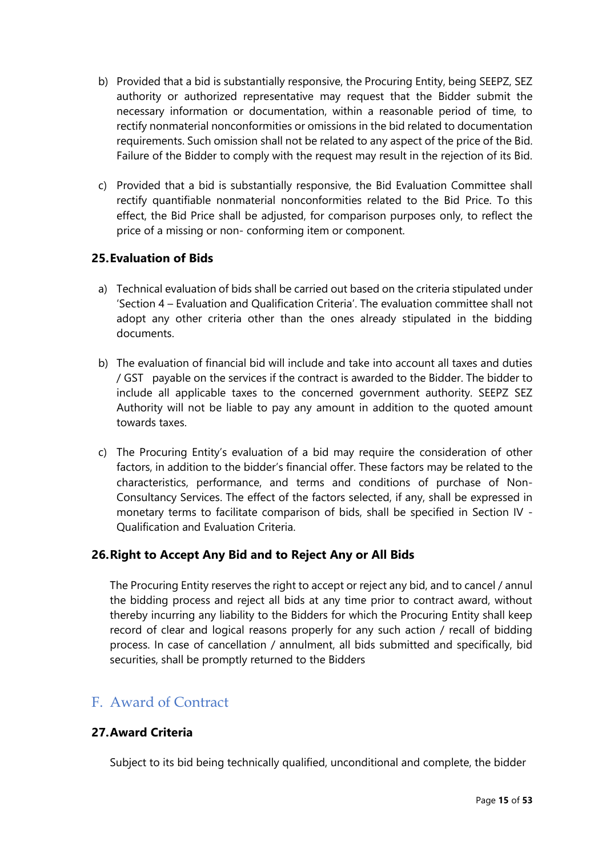- b) Provided that a bid is substantially responsive, the Procuring Entity, being SEEPZ, SEZ authority or authorized representative may request that the Bidder submit the necessary information or documentation, within a reasonable period of time, to rectify nonmaterial nonconformities or omissions in the bid related to documentation requirements. Such omission shall not be related to any aspect of the price of the Bid. Failure of the Bidder to comply with the request may result in the rejection of its Bid.
- c) Provided that a bid is substantially responsive, the Bid Evaluation Committee shall rectify quantifiable nonmaterial nonconformities related to the Bid Price. To this effect, the Bid Price shall be adjusted, for comparison purposes only, to reflect the price of a missing or non- conforming item or component.

### **25.Evaluation of Bids**

- a) Technical evaluation of bids shall be carried out based on the criteria stipulated under 'Section 4 – Evaluation and Qualification Criteria'. The evaluation committee shall not adopt any other criteria other than the ones already stipulated in the bidding documents.
- b) The evaluation of financial bid will include and take into account all taxes and duties / GST payable on the services if the contract is awarded to the Bidder. The bidder to include all applicable taxes to the concerned government authority. SEEPZ SEZ Authority will not be liable to pay any amount in addition to the quoted amount towards taxes.
- c) The Procuring Entity's evaluation of a bid may require the consideration of other factors, in addition to the bidder's financial offer. These factors may be related to the characteristics, performance, and terms and conditions of purchase of Non-Consultancy Services. The effect of the factors selected, if any, shall be expressed in monetary terms to facilitate comparison of bids, shall be specified in Section IV - Qualification and Evaluation Criteria.

### **26.Right to Accept Any Bid and to Reject Any or All Bids**

The Procuring Entity reserves the right to accept or reject any bid, and to cancel / annul the bidding process and reject all bids at any time prior to contract award, without thereby incurring any liability to the Bidders for which the Procuring Entity shall keep record of clear and logical reasons properly for any such action / recall of bidding process. In case of cancellation / annulment, all bids submitted and specifically, bid securities, shall be promptly returned to the Bidders

### F. Award of Contract

### **27.Award Criteria**

Subject to its bid being technically qualified, unconditional and complete, the bidder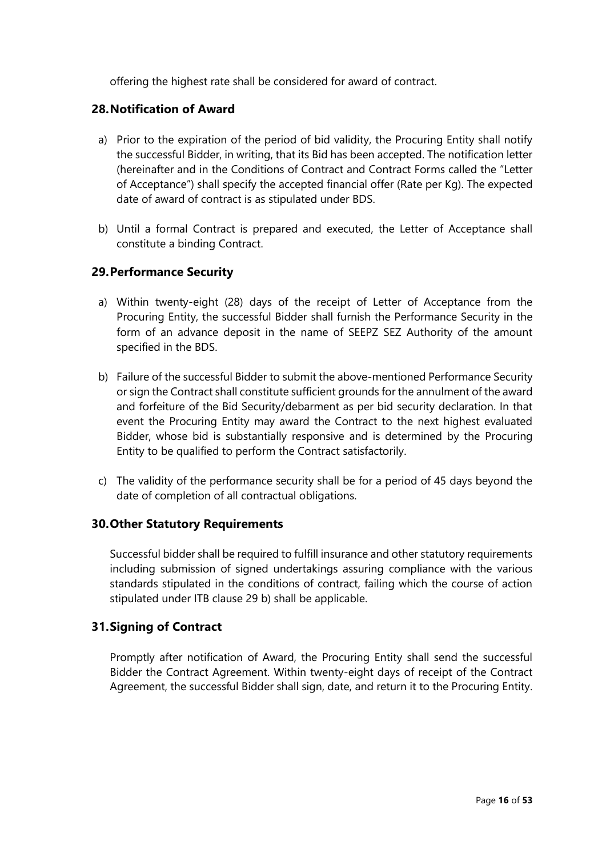offering the highest rate shall be considered for award of contract.

### **28.Notification of Award**

- a) Prior to the expiration of the period of bid validity, the Procuring Entity shall notify the successful Bidder, in writing, that its Bid has been accepted. The notification letter (hereinafter and in the Conditions of Contract and Contract Forms called the "Letter of Acceptance") shall specify the accepted financial offer (Rate per Kg). The expected date of award of contract is as stipulated under BDS.
- b) Until a formal Contract is prepared and executed, the Letter of Acceptance shall constitute a binding Contract.

### **29.Performance Security**

- a) Within twenty-eight (28) days of the receipt of Letter of Acceptance from the Procuring Entity, the successful Bidder shall furnish the Performance Security in the form of an advance deposit in the name of SEEPZ SEZ Authority of the amount specified in the BDS.
- b) Failure of the successful Bidder to submit the above-mentioned Performance Security or sign the Contract shall constitute sufficient grounds for the annulment of the award and forfeiture of the Bid Security/debarment as per bid security declaration. In that event the Procuring Entity may award the Contract to the next highest evaluated Bidder, whose bid is substantially responsive and is determined by the Procuring Entity to be qualified to perform the Contract satisfactorily.
- c) The validity of the performance security shall be for a period of 45 days beyond the date of completion of all contractual obligations.

### **30.Other Statutory Requirements**

Successful bidder shall be required to fulfill insurance and other statutory requirements including submission of signed undertakings assuring compliance with the various standards stipulated in the conditions of contract, failing which the course of action stipulated under ITB clause 29 b) shall be applicable.

### **31.Signing of Contract**

Promptly after notification of Award, the Procuring Entity shall send the successful Bidder the Contract Agreement. Within twenty-eight days of receipt of the Contract Agreement, the successful Bidder shall sign, date, and return it to the Procuring Entity.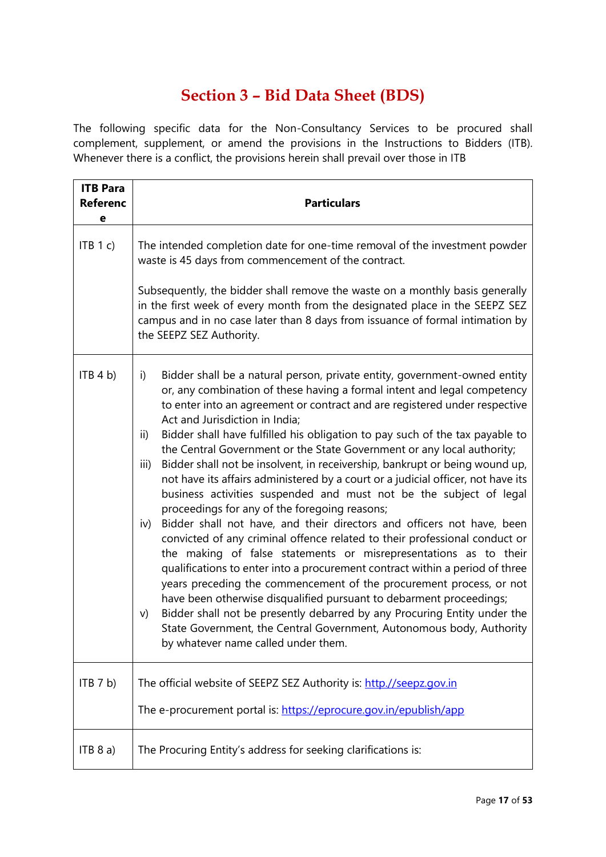# **Section 3 – Bid Data Sheet (BDS)**

The following specific data for the Non-Consultancy Services to be procured shall complement, supplement, or amend the provisions in the Instructions to Bidders (ITB). Whenever there is a conflict, the provisions herein shall prevail over those in ITB

| <b>ITB Para</b><br><b>Referenc</b><br>е | <b>Particulars</b>                                                                                                                                                                                                                                                                                                                                                                                                                                                                                                                                                                                                                                                                                                                                                                                                                                                                                                                                                                                                                                                                                                                                                                                                                                                                                                                                                                                               |  |
|-----------------------------------------|------------------------------------------------------------------------------------------------------------------------------------------------------------------------------------------------------------------------------------------------------------------------------------------------------------------------------------------------------------------------------------------------------------------------------------------------------------------------------------------------------------------------------------------------------------------------------------------------------------------------------------------------------------------------------------------------------------------------------------------------------------------------------------------------------------------------------------------------------------------------------------------------------------------------------------------------------------------------------------------------------------------------------------------------------------------------------------------------------------------------------------------------------------------------------------------------------------------------------------------------------------------------------------------------------------------------------------------------------------------------------------------------------------------|--|
| ITB 1 c)                                | The intended completion date for one-time removal of the investment powder<br>waste is 45 days from commencement of the contract.<br>Subsequently, the bidder shall remove the waste on a monthly basis generally<br>in the first week of every month from the designated place in the SEEPZ SEZ<br>campus and in no case later than 8 days from issuance of formal intimation by<br>the SEEPZ SEZ Authority.                                                                                                                                                                                                                                                                                                                                                                                                                                                                                                                                                                                                                                                                                                                                                                                                                                                                                                                                                                                                    |  |
| ITB 4 b)                                | Bidder shall be a natural person, private entity, government-owned entity<br>i)<br>or, any combination of these having a formal intent and legal competency<br>to enter into an agreement or contract and are registered under respective<br>Act and Jurisdiction in India;<br>Bidder shall have fulfilled his obligation to pay such of the tax payable to<br>ii)<br>the Central Government or the State Government or any local authority;<br>Bidder shall not be insolvent, in receivership, bankrupt or being wound up,<br>iii)<br>not have its affairs administered by a court or a judicial officer, not have its<br>business activities suspended and must not be the subject of legal<br>proceedings for any of the foregoing reasons;<br>Bidder shall not have, and their directors and officers not have, been<br>iv)<br>convicted of any criminal offence related to their professional conduct or<br>the making of false statements or misrepresentations as to their<br>qualifications to enter into a procurement contract within a period of three<br>years preceding the commencement of the procurement process, or not<br>have been otherwise disqualified pursuant to debarment proceedings;<br>Bidder shall not be presently debarred by any Procuring Entity under the<br>V)<br>State Government, the Central Government, Autonomous body, Authority<br>by whatever name called under them. |  |
| ITB 7 b)                                | The official website of SEEPZ SEZ Authority is: http.//seepz.gov.in<br>The e-procurement portal is: https://eprocure.gov.in/epublish/app                                                                                                                                                                                                                                                                                                                                                                                                                                                                                                                                                                                                                                                                                                                                                                                                                                                                                                                                                                                                                                                                                                                                                                                                                                                                         |  |
| ITB 8 a)                                | The Procuring Entity's address for seeking clarifications is:                                                                                                                                                                                                                                                                                                                                                                                                                                                                                                                                                                                                                                                                                                                                                                                                                                                                                                                                                                                                                                                                                                                                                                                                                                                                                                                                                    |  |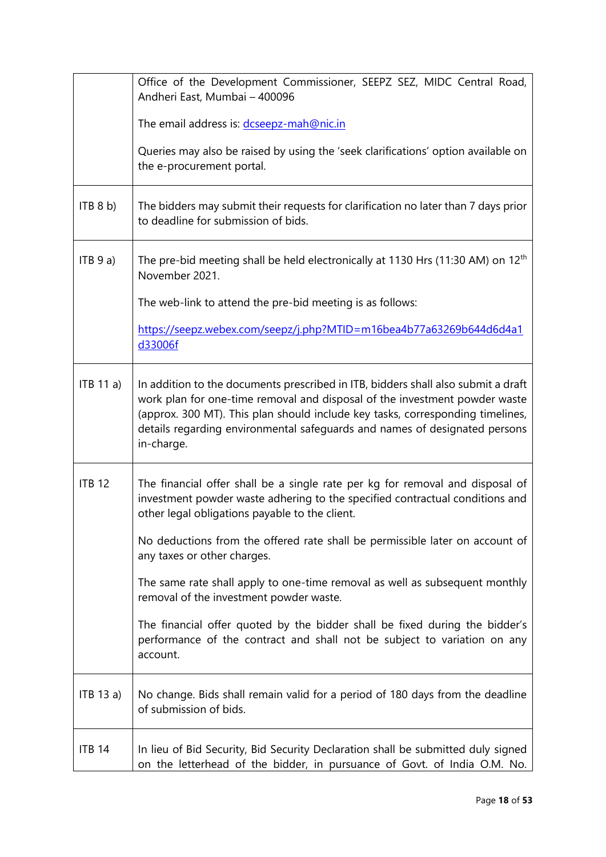|               | Office of the Development Commissioner, SEEPZ SEZ, MIDC Central Road,<br>Andheri East, Mumbai - 400096                                                                                                                                                                                                                                        |
|---------------|-----------------------------------------------------------------------------------------------------------------------------------------------------------------------------------------------------------------------------------------------------------------------------------------------------------------------------------------------|
|               | The email address is: dcseepz-mah@nic.in                                                                                                                                                                                                                                                                                                      |
|               | Queries may also be raised by using the 'seek clarifications' option available on<br>the e-procurement portal.                                                                                                                                                                                                                                |
| ITB 8 b)      | The bidders may submit their requests for clarification no later than 7 days prior<br>to deadline for submission of bids.                                                                                                                                                                                                                     |
| ITB 9 a)      | The pre-bid meeting shall be held electronically at 1130 Hrs (11:30 AM) on 12 <sup>th</sup><br>November 2021.                                                                                                                                                                                                                                 |
|               | The web-link to attend the pre-bid meeting is as follows:                                                                                                                                                                                                                                                                                     |
|               | https://seepz.webex.com/seepz/j.php?MTID=m16bea4b77a63269b644d6d4a1<br>d33006f                                                                                                                                                                                                                                                                |
| ITB 11 a)     | In addition to the documents prescribed in ITB, bidders shall also submit a draft<br>work plan for one-time removal and disposal of the investment powder waste<br>(approx. 300 MT). This plan should include key tasks, corresponding timelines,<br>details regarding environmental safeguards and names of designated persons<br>in-charge. |
| <b>ITB 12</b> | The financial offer shall be a single rate per kg for removal and disposal of<br>investment powder waste adhering to the specified contractual conditions and<br>other legal obligations payable to the client.                                                                                                                               |
|               | No deductions from the offered rate shall be permissible later on account of<br>any taxes or other charges.                                                                                                                                                                                                                                   |
|               | The same rate shall apply to one-time removal as well as subsequent monthly<br>removal of the investment powder waste.                                                                                                                                                                                                                        |
|               | The financial offer quoted by the bidder shall be fixed during the bidder's<br>performance of the contract and shall not be subject to variation on any<br>account.                                                                                                                                                                           |
| ITB 13 a)     | No change. Bids shall remain valid for a period of 180 days from the deadline<br>of submission of bids.                                                                                                                                                                                                                                       |
| <b>ITB 14</b> | In lieu of Bid Security, Bid Security Declaration shall be submitted duly signed<br>on the letterhead of the bidder, in pursuance of Govt. of India O.M. No.                                                                                                                                                                                  |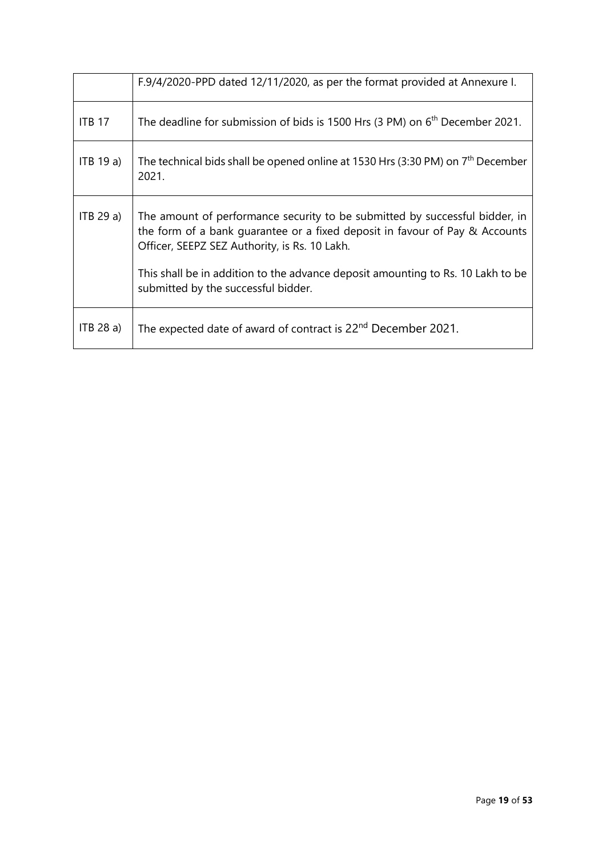|               | F.9/4/2020-PPD dated 12/11/2020, as per the format provided at Annexure I.                                                                                                                                  |
|---------------|-------------------------------------------------------------------------------------------------------------------------------------------------------------------------------------------------------------|
| <b>ITB 17</b> | The deadline for submission of bids is 1500 Hrs (3 PM) on 6 <sup>th</sup> December 2021.                                                                                                                    |
| $ITB$ 19 a)   | The technical bids shall be opened online at 1530 Hrs (3:30 PM) on $7th$ December<br>2021.                                                                                                                  |
| ITB 29a)      | The amount of performance security to be submitted by successful bidder, in<br>the form of a bank guarantee or a fixed deposit in favour of Pay & Accounts<br>Officer, SEEPZ SEZ Authority, is Rs. 10 Lakh. |
|               | This shall be in addition to the advance deposit amounting to Rs. 10 Lakh to be<br>submitted by the successful bidder.                                                                                      |
| ITB 28 a)     | The expected date of award of contract is 22 <sup>nd</sup> December 2021.                                                                                                                                   |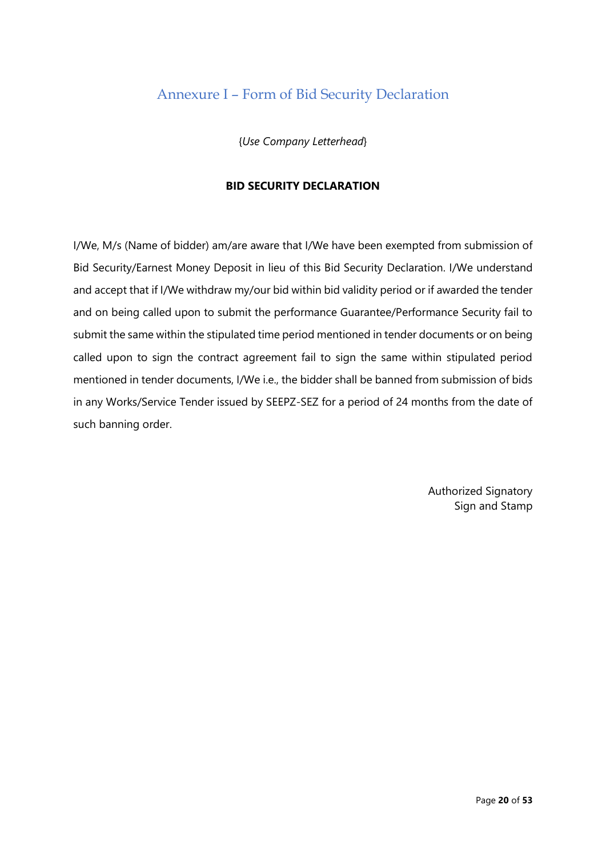### Annexure I – Form of Bid Security Declaration

{*Use Company Letterhead*}

#### **BID SECURITY DECLARATION**

I/We, M/s (Name of bidder) am/are aware that I/We have been exempted from submission of Bid Security/Earnest Money Deposit in lieu of this Bid Security Declaration. I/We understand and accept that if I/We withdraw my/our bid within bid validity period or if awarded the tender and on being called upon to submit the performance Guarantee/Performance Security fail to submit the same within the stipulated time period mentioned in tender documents or on being called upon to sign the contract agreement fail to sign the same within stipulated period mentioned in tender documents, I/We i.e., the bidder shall be banned from submission of bids in any Works/Service Tender issued by SEEPZ-SEZ for a period of 24 months from the date of such banning order.

> Authorized Signatory Sign and Stamp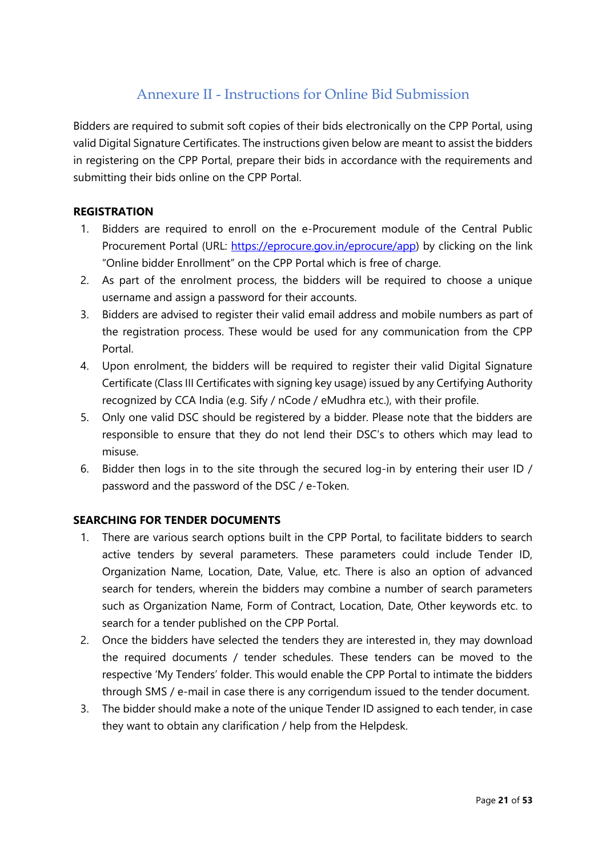### Annexure II - Instructions for Online Bid Submission

Bidders are required to submit soft copies of their bids electronically on the CPP Portal, using valid Digital Signature Certificates. The instructions given below are meant to assist the bidders in registering on the CPP Portal, prepare their bids in accordance with the requirements and submitting their bids online on the CPP Portal.

#### **REGISTRATION**

- 1. Bidders are required to enroll on the e-Procurement module of the Central Public Procurement Portal (URL: [https://eprocure.gov.in/eprocure/app\)](https://eprocure.gov.in/eprocure/app) by clicking on the link "Online bidder Enrollment" on the CPP Portal which is free of charge.
- 2. As part of the enrolment process, the bidders will be required to choose a unique username and assign a password for their accounts.
- 3. Bidders are advised to register their valid email address and mobile numbers as part of the registration process. These would be used for any communication from the CPP Portal.
- 4. Upon enrolment, the bidders will be required to register their valid Digital Signature Certificate (Class III Certificates with signing key usage) issued by any Certifying Authority recognized by CCA India (e.g. Sify / nCode / eMudhra etc.), with their profile.
- 5. Only one valid DSC should be registered by a bidder. Please note that the bidders are responsible to ensure that they do not lend their DSC's to others which may lead to misuse.
- 6. Bidder then logs in to the site through the secured log-in by entering their user ID / password and the password of the DSC / e-Token.

### **SEARCHING FOR TENDER DOCUMENTS**

- 1. There are various search options built in the CPP Portal, to facilitate bidders to search active tenders by several parameters. These parameters could include Tender ID, Organization Name, Location, Date, Value, etc. There is also an option of advanced search for tenders, wherein the bidders may combine a number of search parameters such as Organization Name, Form of Contract, Location, Date, Other keywords etc. to search for a tender published on the CPP Portal.
- 2. Once the bidders have selected the tenders they are interested in, they may download the required documents / tender schedules. These tenders can be moved to the respective 'My Tenders' folder. This would enable the CPP Portal to intimate the bidders through SMS / e-mail in case there is any corrigendum issued to the tender document.
- 3. The bidder should make a note of the unique Tender ID assigned to each tender, in case they want to obtain any clarification / help from the Helpdesk.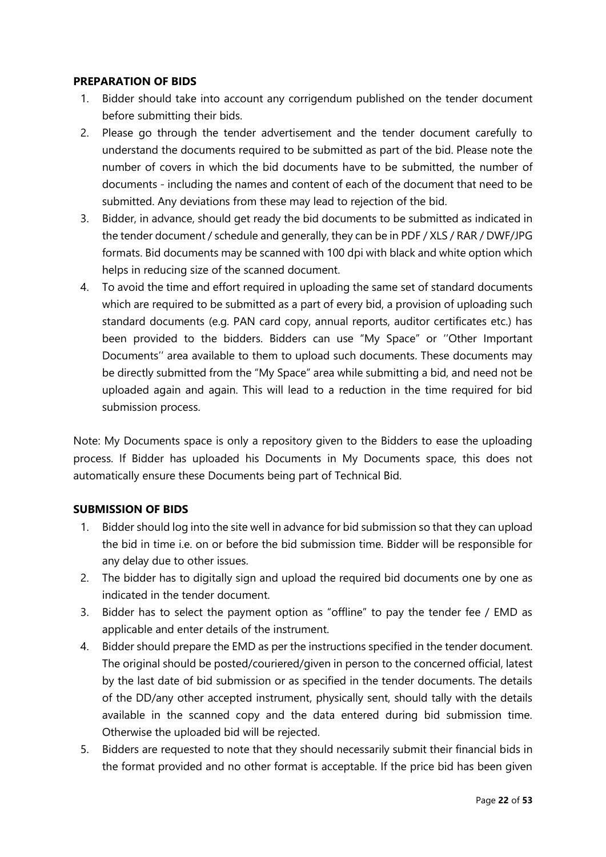#### **PREPARATION OF BIDS**

- 1. Bidder should take into account any corrigendum published on the tender document before submitting their bids.
- 2. Please go through the tender advertisement and the tender document carefully to understand the documents required to be submitted as part of the bid. Please note the number of covers in which the bid documents have to be submitted, the number of documents - including the names and content of each of the document that need to be submitted. Any deviations from these may lead to rejection of the bid.
- 3. Bidder, in advance, should get ready the bid documents to be submitted as indicated in the tender document / schedule and generally, they can be in PDF / XLS / RAR / DWF/JPG formats. Bid documents may be scanned with 100 dpi with black and white option which helps in reducing size of the scanned document.
- 4. To avoid the time and effort required in uploading the same set of standard documents which are required to be submitted as a part of every bid, a provision of uploading such standard documents (e.g. PAN card copy, annual reports, auditor certificates etc.) has been provided to the bidders. Bidders can use "My Space" or ''Other Important Documents'' area available to them to upload such documents. These documents may be directly submitted from the "My Space" area while submitting a bid, and need not be uploaded again and again. This will lead to a reduction in the time required for bid submission process.

Note: My Documents space is only a repository given to the Bidders to ease the uploading process. If Bidder has uploaded his Documents in My Documents space, this does not automatically ensure these Documents being part of Technical Bid.

#### **SUBMISSION OF BIDS**

- 1. Bidder should log into the site well in advance for bid submission so that they can upload the bid in time i.e. on or before the bid submission time. Bidder will be responsible for any delay due to other issues.
- 2. The bidder has to digitally sign and upload the required bid documents one by one as indicated in the tender document.
- 3. Bidder has to select the payment option as "offline" to pay the tender fee / EMD as applicable and enter details of the instrument.
- 4. Bidder should prepare the EMD as per the instructions specified in the tender document. The original should be posted/couriered/given in person to the concerned official, latest by the last date of bid submission or as specified in the tender documents. The details of the DD/any other accepted instrument, physically sent, should tally with the details available in the scanned copy and the data entered during bid submission time. Otherwise the uploaded bid will be rejected.
- 5. Bidders are requested to note that they should necessarily submit their financial bids in the format provided and no other format is acceptable. If the price bid has been given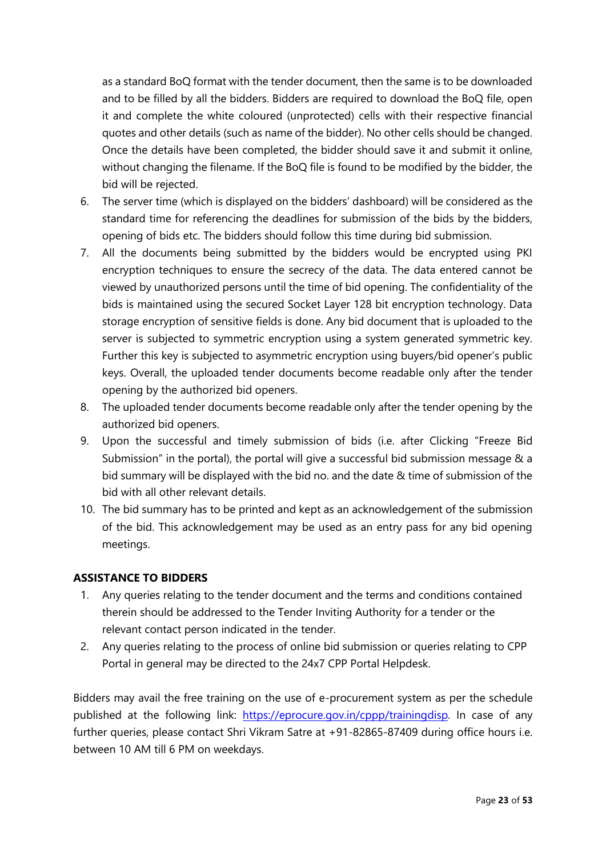as a standard BoQ format with the tender document, then the same is to be downloaded and to be filled by all the bidders. Bidders are required to download the BoQ file, open it and complete the white coloured (unprotected) cells with their respective financial quotes and other details (such as name of the bidder). No other cells should be changed. Once the details have been completed, the bidder should save it and submit it online, without changing the filename. If the BoQ file is found to be modified by the bidder, the bid will be rejected.

- 6. The server time (which is displayed on the bidders' dashboard) will be considered as the standard time for referencing the deadlines for submission of the bids by the bidders, opening of bids etc. The bidders should follow this time during bid submission.
- 7. All the documents being submitted by the bidders would be encrypted using PKI encryption techniques to ensure the secrecy of the data. The data entered cannot be viewed by unauthorized persons until the time of bid opening. The confidentiality of the bids is maintained using the secured Socket Layer 128 bit encryption technology. Data storage encryption of sensitive fields is done. Any bid document that is uploaded to the server is subjected to symmetric encryption using a system generated symmetric key. Further this key is subjected to asymmetric encryption using buyers/bid opener's public keys. Overall, the uploaded tender documents become readable only after the tender opening by the authorized bid openers.
- 8. The uploaded tender documents become readable only after the tender opening by the authorized bid openers.
- 9. Upon the successful and timely submission of bids (i.e. after Clicking "Freeze Bid Submission" in the portal), the portal will give a successful bid submission message & a bid summary will be displayed with the bid no. and the date & time of submission of the bid with all other relevant details.
- 10. The bid summary has to be printed and kept as an acknowledgement of the submission of the bid. This acknowledgement may be used as an entry pass for any bid opening meetings.

### **ASSISTANCE TO BIDDERS**

- 1. Any queries relating to the tender document and the terms and conditions contained therein should be addressed to the Tender Inviting Authority for a tender or the relevant contact person indicated in the tender.
- 2. Any queries relating to the process of online bid submission or queries relating to CPP Portal in general may be directed to the 24x7 CPP Portal Helpdesk.

Bidders may avail the free training on the use of e-procurement system as per the schedule published at the following link: [https://eprocure.gov.in/cppp/trainingdisp.](https://eprocure.gov.in/cppp/trainingdisp) In case of any further queries, please contact Shri Vikram Satre at +91-82865-87409 during office hours i.e. between 10 AM till 6 PM on weekdays.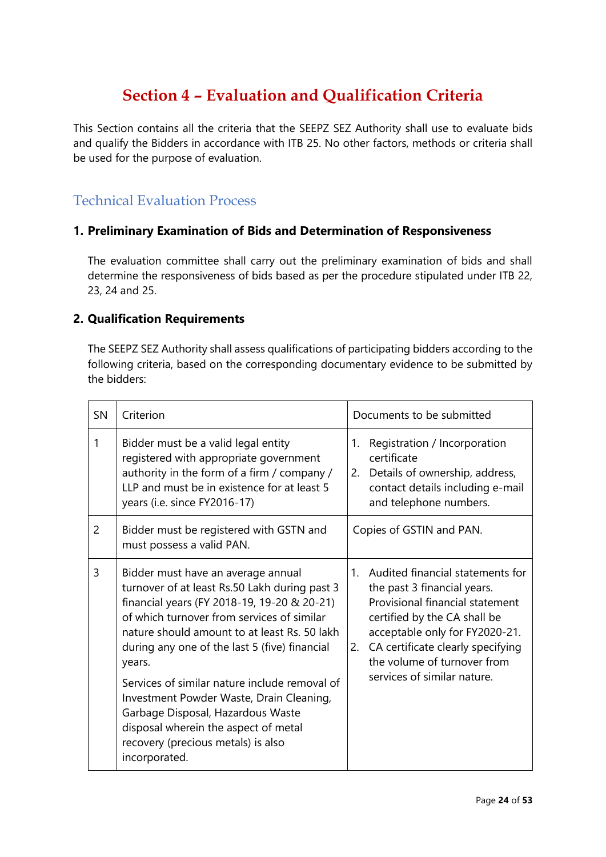# **Section 4 – Evaluation and Qualification Criteria**

This Section contains all the criteria that the SEEPZ SEZ Authority shall use to evaluate bids and qualify the Bidders in accordance with ITB 25. No other factors, methods or criteria shall be used for the purpose of evaluation.

### Technical Evaluation Process

### **1. Preliminary Examination of Bids and Determination of Responsiveness**

The evaluation committee shall carry out the preliminary examination of bids and shall determine the responsiveness of bids based as per the procedure stipulated under ITB 22, 23, 24 and 25.

#### **2. Qualification Requirements**

The SEEPZ SEZ Authority shall assess qualifications of participating bidders according to the following criteria, based on the corresponding documentary evidence to be submitted by the bidders:

| <b>SN</b>      | Criterion                                                                                                                                                                                                                                                                                                                                                                                                                                                                                                                    | Documents to be submitted                                                                                                                                                                                                                                                        |
|----------------|------------------------------------------------------------------------------------------------------------------------------------------------------------------------------------------------------------------------------------------------------------------------------------------------------------------------------------------------------------------------------------------------------------------------------------------------------------------------------------------------------------------------------|----------------------------------------------------------------------------------------------------------------------------------------------------------------------------------------------------------------------------------------------------------------------------------|
| 1              | Bidder must be a valid legal entity<br>registered with appropriate government<br>authority in the form of a firm / company /<br>LLP and must be in existence for at least 5<br>years (i.e. since FY2016-17)                                                                                                                                                                                                                                                                                                                  | Registration / Incorporation<br>1.<br>certificate<br>Details of ownership, address,<br>2.<br>contact details including e-mail<br>and telephone numbers.                                                                                                                          |
| $\overline{c}$ | Bidder must be registered with GSTN and<br>must possess a valid PAN.                                                                                                                                                                                                                                                                                                                                                                                                                                                         | Copies of GSTIN and PAN.                                                                                                                                                                                                                                                         |
| 3              | Bidder must have an average annual<br>turnover of at least Rs.50 Lakh during past 3<br>financial years (FY 2018-19, 19-20 & 20-21)<br>of which turnover from services of similar<br>nature should amount to at least Rs. 50 lakh<br>during any one of the last 5 (five) financial<br>years.<br>Services of similar nature include removal of<br>Investment Powder Waste, Drain Cleaning,<br>Garbage Disposal, Hazardous Waste<br>disposal wherein the aspect of metal<br>recovery (precious metals) is also<br>incorporated. | 1. Audited financial statements for<br>the past 3 financial years.<br>Provisional financial statement<br>certified by the CA shall be<br>acceptable only for FY2020-21.<br>CA certificate clearly specifying<br>2.<br>the volume of turnover from<br>services of similar nature. |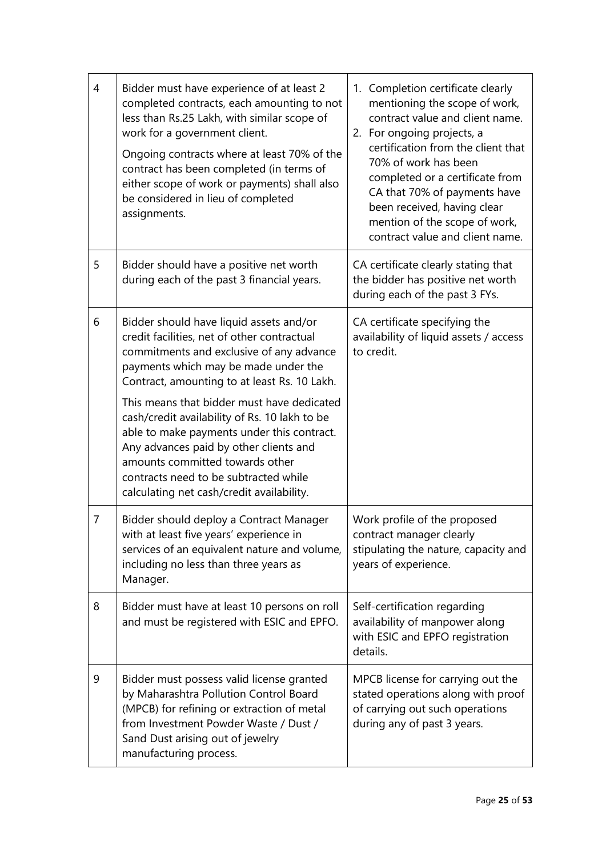| $\overline{4}$ | Bidder must have experience of at least 2<br>completed contracts, each amounting to not<br>less than Rs.25 Lakh, with similar scope of<br>work for a government client.<br>Ongoing contracts where at least 70% of the<br>contract has been completed (in terms of<br>either scope of work or payments) shall also<br>be considered in lieu of completed<br>assignments. | 1. Completion certificate clearly<br>mentioning the scope of work,<br>contract value and client name.<br>2. For ongoing projects, a<br>certification from the client that<br>70% of work has been<br>completed or a certificate from<br>CA that 70% of payments have<br>been received, having clear<br>mention of the scope of work,<br>contract value and client name. |
|----------------|--------------------------------------------------------------------------------------------------------------------------------------------------------------------------------------------------------------------------------------------------------------------------------------------------------------------------------------------------------------------------|-------------------------------------------------------------------------------------------------------------------------------------------------------------------------------------------------------------------------------------------------------------------------------------------------------------------------------------------------------------------------|
| 5              | Bidder should have a positive net worth<br>during each of the past 3 financial years.                                                                                                                                                                                                                                                                                    | CA certificate clearly stating that<br>the bidder has positive net worth<br>during each of the past 3 FYs.                                                                                                                                                                                                                                                              |
| 6              | Bidder should have liquid assets and/or<br>credit facilities, net of other contractual<br>commitments and exclusive of any advance<br>payments which may be made under the<br>Contract, amounting to at least Rs. 10 Lakh.                                                                                                                                               | CA certificate specifying the<br>availability of liquid assets / access<br>to credit.                                                                                                                                                                                                                                                                                   |
|                | This means that bidder must have dedicated<br>cash/credit availability of Rs. 10 lakh to be<br>able to make payments under this contract.<br>Any advances paid by other clients and<br>amounts committed towards other<br>contracts need to be subtracted while<br>calculating net cash/credit availability.                                                             |                                                                                                                                                                                                                                                                                                                                                                         |
| 7              | Bidder should deploy a Contract Manager<br>with at least five years' experience in<br>services of an equivalent nature and volume,<br>including no less than three years as<br>Manager.                                                                                                                                                                                  | Work profile of the proposed<br>contract manager clearly<br>stipulating the nature, capacity and<br>years of experience.                                                                                                                                                                                                                                                |
| 8              | Bidder must have at least 10 persons on roll<br>and must be registered with ESIC and EPFO.                                                                                                                                                                                                                                                                               | Self-certification regarding<br>availability of manpower along<br>with ESIC and EPFO registration<br>details.                                                                                                                                                                                                                                                           |
| 9              | Bidder must possess valid license granted<br>by Maharashtra Pollution Control Board<br>(MPCB) for refining or extraction of metal<br>from Investment Powder Waste / Dust /<br>Sand Dust arising out of jewelry<br>manufacturing process.                                                                                                                                 | MPCB license for carrying out the<br>stated operations along with proof<br>of carrying out such operations<br>during any of past 3 years.                                                                                                                                                                                                                               |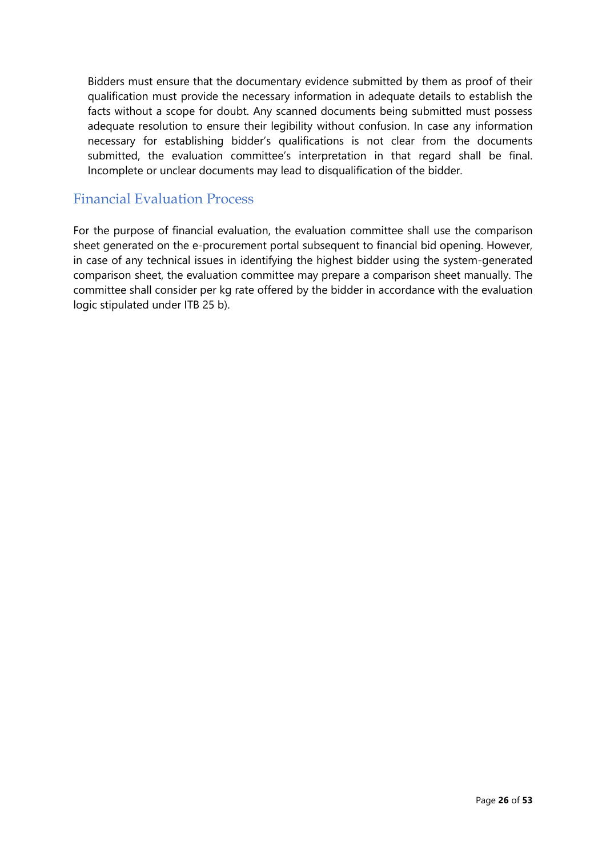Bidders must ensure that the documentary evidence submitted by them as proof of their qualification must provide the necessary information in adequate details to establish the facts without a scope for doubt. Any scanned documents being submitted must possess adequate resolution to ensure their legibility without confusion. In case any information necessary for establishing bidder's qualifications is not clear from the documents submitted, the evaluation committee's interpretation in that regard shall be final. Incomplete or unclear documents may lead to disqualification of the bidder.

### Financial Evaluation Process

For the purpose of financial evaluation, the evaluation committee shall use the comparison sheet generated on the e-procurement portal subsequent to financial bid opening. However, in case of any technical issues in identifying the highest bidder using the system-generated comparison sheet, the evaluation committee may prepare a comparison sheet manually. The committee shall consider per kg rate offered by the bidder in accordance with the evaluation logic stipulated under ITB 25 b).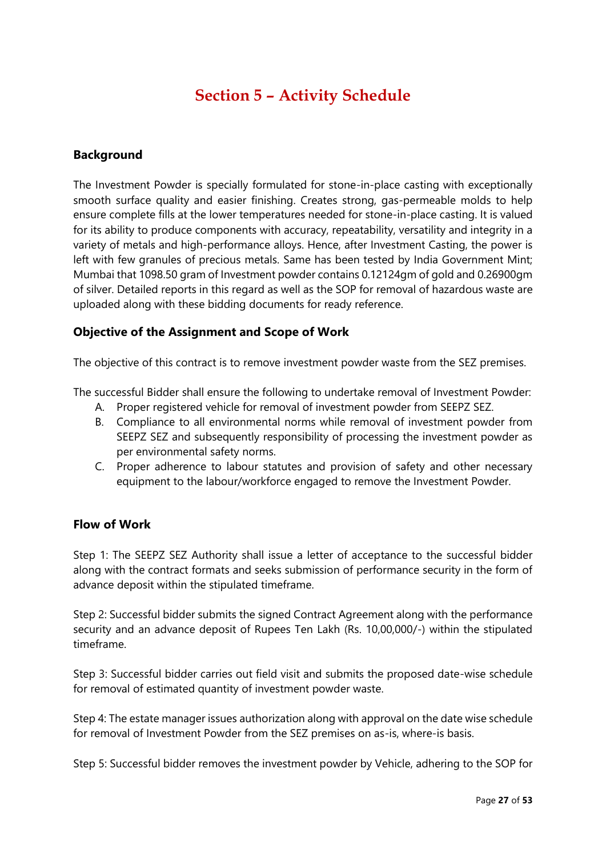# **Section 5 – Activity Schedule**

#### **Background**

The Investment Powder is specially formulated for stone-in-place casting with exceptionally smooth surface quality and easier finishing. Creates strong, gas-permeable molds to help ensure complete fills at the lower temperatures needed for stone-in-place casting. It is valued for its ability to produce components with accuracy, repeatability, versatility and integrity in a variety of metals and high-performance alloys. Hence, after Investment Casting, the power is left with few granules of precious metals. Same has been tested by India Government Mint; Mumbai that 1098.50 gram of Investment powder contains 0.12124gm of gold and 0.26900gm of silver. Detailed reports in this regard as well as the SOP for removal of hazardous waste are uploaded along with these bidding documents for ready reference.

### **Objective of the Assignment and Scope of Work**

The objective of this contract is to remove investment powder waste from the SEZ premises.

The successful Bidder shall ensure the following to undertake removal of Investment Powder:

- A. Proper registered vehicle for removal of investment powder from SEEPZ SEZ.
- B. Compliance to all environmental norms while removal of investment powder from SEEPZ SEZ and subsequently responsibility of processing the investment powder as per environmental safety norms.
- C. Proper adherence to labour statutes and provision of safety and other necessary equipment to the labour/workforce engaged to remove the Investment Powder.

#### **Flow of Work**

Step 1: The SEEPZ SEZ Authority shall issue a letter of acceptance to the successful bidder along with the contract formats and seeks submission of performance security in the form of advance deposit within the stipulated timeframe.

Step 2: Successful bidder submits the signed Contract Agreement along with the performance security and an advance deposit of Rupees Ten Lakh (Rs. 10,00,000/-) within the stipulated timeframe.

Step 3: Successful bidder carries out field visit and submits the proposed date-wise schedule for removal of estimated quantity of investment powder waste.

Step 4: The estate manager issues authorization along with approval on the date wise schedule for removal of Investment Powder from the SEZ premises on as-is, where-is basis.

Step 5: Successful bidder removes the investment powder by Vehicle, adhering to the SOP for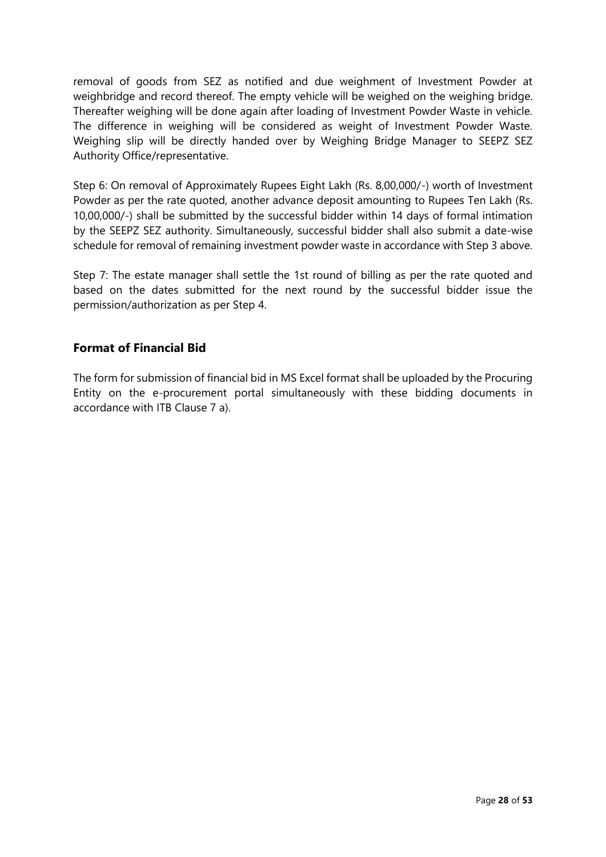removal of goods from SEZ as notified and due weighment of Investment Powder at weighbridge and record thereof. The empty vehicle will be weighed on the weighing bridge. Thereafter weighing will be done again after loading of Investment Powder Waste in vehicle. The difference in weighing will be considered as weight of Investment Powder Waste. Weighing slip will be directly handed over by Weighing Bridge Manager to SEEPZ SEZ Authority Office/representative.

Step 6: On removal of Approximately Rupees Eight Lakh (Rs. 8,00,000/-) worth of Investment Powder as per the rate quoted, another advance deposit amounting to Rupees Ten Lakh (Rs. 10,00,000/-) shall be submitted by the successful bidder within 14 days of formal intimation by the SEEPZ SEZ authority. Simultaneously, successful bidder shall also submit a date-wise schedule for removal of remaining investment powder waste in accordance with Step 3 above.

Step 7: The estate manager shall settle the 1st round of billing as per the rate quoted and based on the dates submitted for the next round by the successful bidder issue the permission/authorization as per Step 4.

### **Format of Financial Bid**

The form for submission of financial bid in MS Excel format shall be uploaded by the Procuring Entity on the e-procurement portal simultaneously with these bidding documents in accordance with ITB Clause 7 a).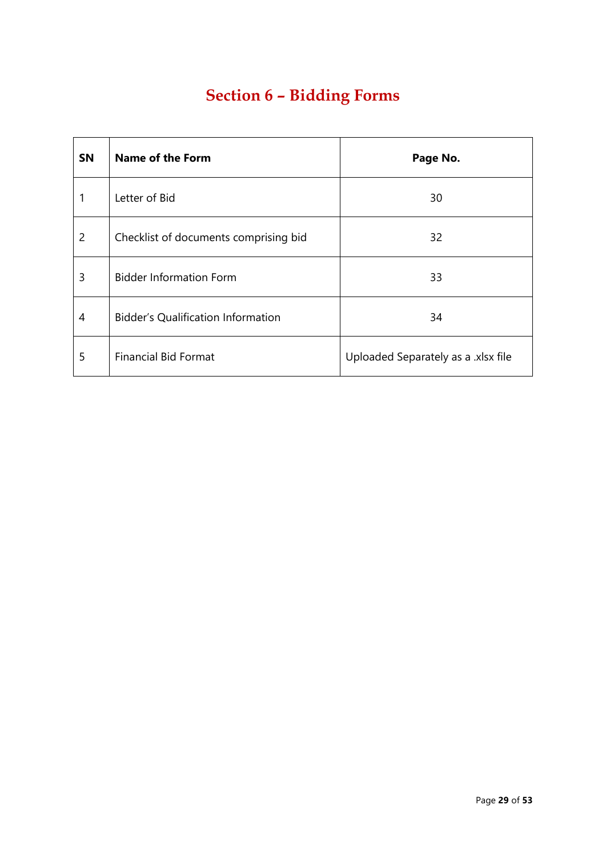# **Section 6 – Bidding Forms**

| <b>SN</b>      | <b>Name of the Form</b>                   | Page No.                            |
|----------------|-------------------------------------------|-------------------------------------|
|                | Letter of Bid                             | 30                                  |
| $\overline{2}$ | Checklist of documents comprising bid     | 32                                  |
| 3              | <b>Bidder Information Form</b>            | 33                                  |
| 4              | <b>Bidder's Qualification Information</b> | 34                                  |
| 5              | <b>Financial Bid Format</b>               | Uploaded Separately as a .xlsx file |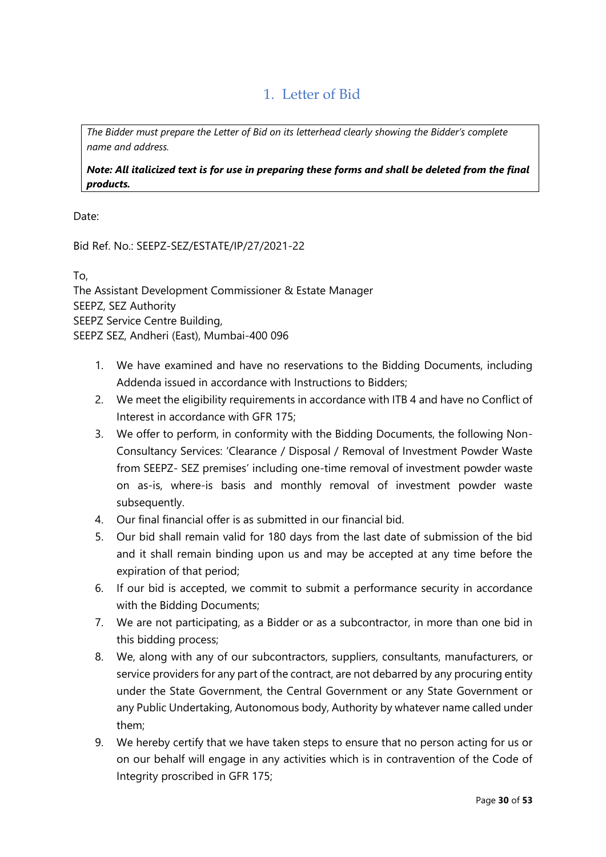## 1. Letter of Bid

*The Bidder must prepare the Letter of Bid on its letterhead clearly showing the Bidder's complete name and address.*

*Note: All italicized text is for use in preparing these forms and shall be deleted from the final products.*

Date:

Bid Ref. No.: SEEPZ-SEZ/ESTATE/IP/27/2021-22

To,

The Assistant Development Commissioner & Estate Manager SEEPZ, SEZ Authority SEEPZ Service Centre Building, SEEPZ SEZ, Andheri (East), Mumbai-400 096

- 1. We have examined and have no reservations to the Bidding Documents, including Addenda issued in accordance with Instructions to Bidders;
- 2. We meet the eligibility requirements in accordance with ITB 4 and have no Conflict of Interest in accordance with GFR 175;
- 3. We offer to perform, in conformity with the Bidding Documents, the following Non-Consultancy Services: 'Clearance / Disposal / Removal of Investment Powder Waste from SEEPZ- SEZ premises' including one-time removal of investment powder waste on as-is, where-is basis and monthly removal of investment powder waste subsequently.
- 4. Our final financial offer is as submitted in our financial bid.
- 5. Our bid shall remain valid for 180 days from the last date of submission of the bid and it shall remain binding upon us and may be accepted at any time before the expiration of that period;
- 6. If our bid is accepted, we commit to submit a performance security in accordance with the Bidding Documents;
- 7. We are not participating, as a Bidder or as a subcontractor, in more than one bid in this bidding process;
- 8. We, along with any of our subcontractors, suppliers, consultants, manufacturers, or service providers for any part of the contract, are not debarred by any procuring entity under the State Government, the Central Government or any State Government or any Public Undertaking, Autonomous body, Authority by whatever name called under them;
- 9. We hereby certify that we have taken steps to ensure that no person acting for us or on our behalf will engage in any activities which is in contravention of the Code of Integrity proscribed in GFR 175;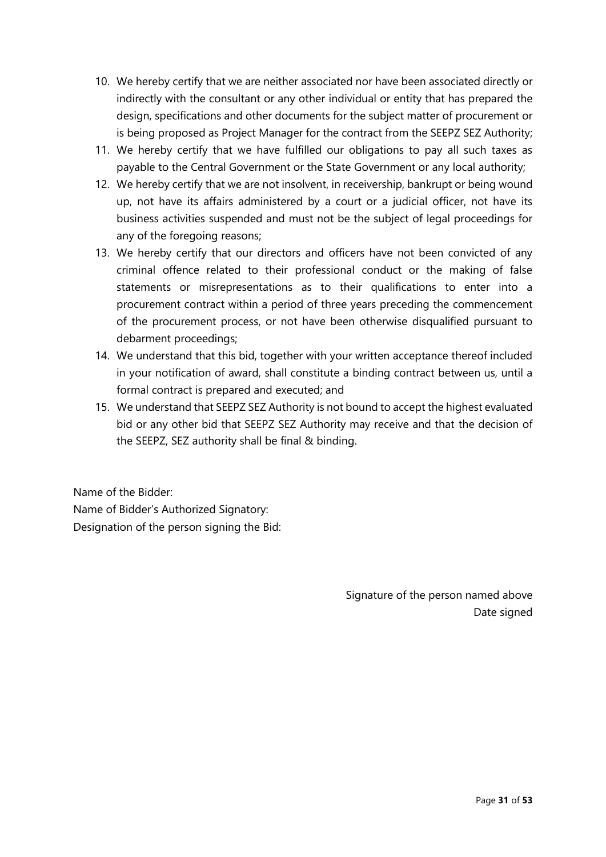- 10. We hereby certify that we are neither associated nor have been associated directly or indirectly with the consultant or any other individual or entity that has prepared the design, specifications and other documents for the subject matter of procurement or is being proposed as Project Manager for the contract from the SEEPZ SEZ Authority;
- 11. We hereby certify that we have fulfilled our obligations to pay all such taxes as payable to the Central Government or the State Government or any local authority;
- 12. We hereby certify that we are not insolvent, in receivership, bankrupt or being wound up, not have its affairs administered by a court or a judicial officer, not have its business activities suspended and must not be the subject of legal proceedings for any of the foregoing reasons;
- 13. We hereby certify that our directors and officers have not been convicted of any criminal offence related to their professional conduct or the making of false statements or misrepresentations as to their qualifications to enter into a procurement contract within a period of three years preceding the commencement of the procurement process, or not have been otherwise disqualified pursuant to debarment proceedings;
- 14. We understand that this bid, together with your written acceptance thereof included in your notification of award, shall constitute a binding contract between us, until a formal contract is prepared and executed; and
- 15. We understand that SEEPZ SEZ Authority is not bound to accept the highest evaluated bid or any other bid that SEEPZ SEZ Authority may receive and that the decision of the SEEPZ, SEZ authority shall be final & binding.

Name of the Bidder: Name of Bidder's Authorized Signatory: Designation of the person signing the Bid:

> Signature of the person named above Date signed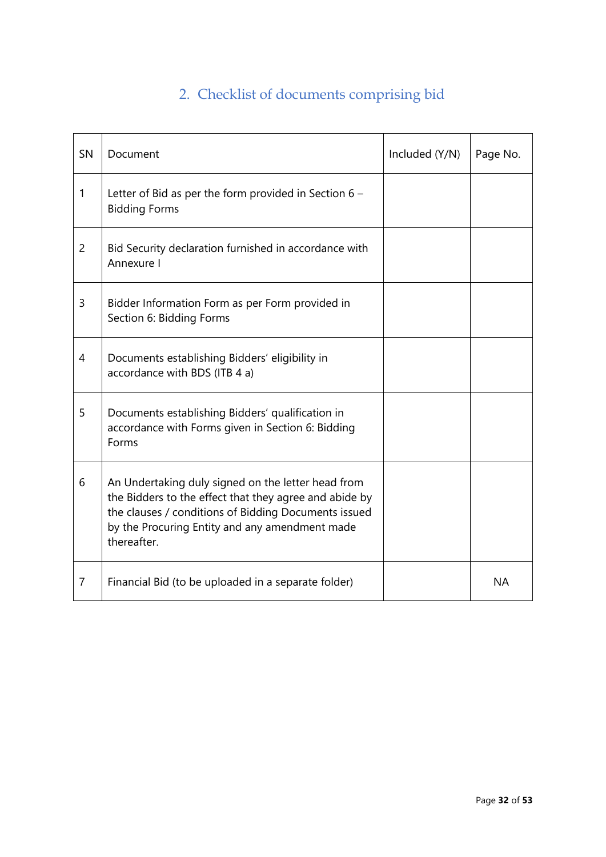# 2. Checklist of documents comprising bid

| SN             | Document                                                                                                                                                                                                                              | Included (Y/N) | Page No.  |
|----------------|---------------------------------------------------------------------------------------------------------------------------------------------------------------------------------------------------------------------------------------|----------------|-----------|
| 1              | Letter of Bid as per the form provided in Section $6 -$<br><b>Bidding Forms</b>                                                                                                                                                       |                |           |
| $\overline{2}$ | Bid Security declaration furnished in accordance with<br>Annexure I                                                                                                                                                                   |                |           |
| 3              | Bidder Information Form as per Form provided in<br>Section 6: Bidding Forms                                                                                                                                                           |                |           |
| 4              | Documents establishing Bidders' eligibility in<br>accordance with BDS (ITB 4 a)                                                                                                                                                       |                |           |
| 5              | Documents establishing Bidders' qualification in<br>accordance with Forms given in Section 6: Bidding<br>Forms                                                                                                                        |                |           |
| 6              | An Undertaking duly signed on the letter head from<br>the Bidders to the effect that they agree and abide by<br>the clauses / conditions of Bidding Documents issued<br>by the Procuring Entity and any amendment made<br>thereafter. |                |           |
| $\overline{7}$ | Financial Bid (to be uploaded in a separate folder)                                                                                                                                                                                   |                | <b>NA</b> |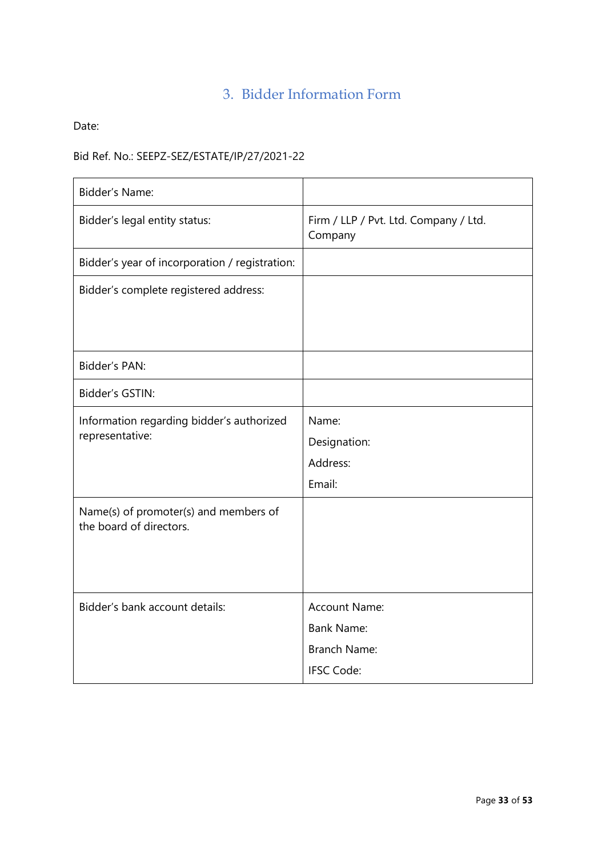### 3. Bidder Information Form

Date:

### Bid Ref. No.: SEEPZ-SEZ/ESTATE/IP/27/2021-22

| <b>Bidder's Name:</b>                                            |                                                                                       |
|------------------------------------------------------------------|---------------------------------------------------------------------------------------|
| Bidder's legal entity status:                                    | Firm / LLP / Pvt. Ltd. Company / Ltd.<br>Company                                      |
| Bidder's year of incorporation / registration:                   |                                                                                       |
| Bidder's complete registered address:                            |                                                                                       |
| <b>Bidder's PAN:</b>                                             |                                                                                       |
| Bidder's GSTIN:                                                  |                                                                                       |
| Information regarding bidder's authorized<br>representative:     | Name:<br>Designation:<br>Address:<br>Email:                                           |
| Name(s) of promoter(s) and members of<br>the board of directors. |                                                                                       |
| Bidder's bank account details:                                   | <b>Account Name:</b><br><b>Bank Name:</b><br><b>Branch Name:</b><br><b>IFSC Code:</b> |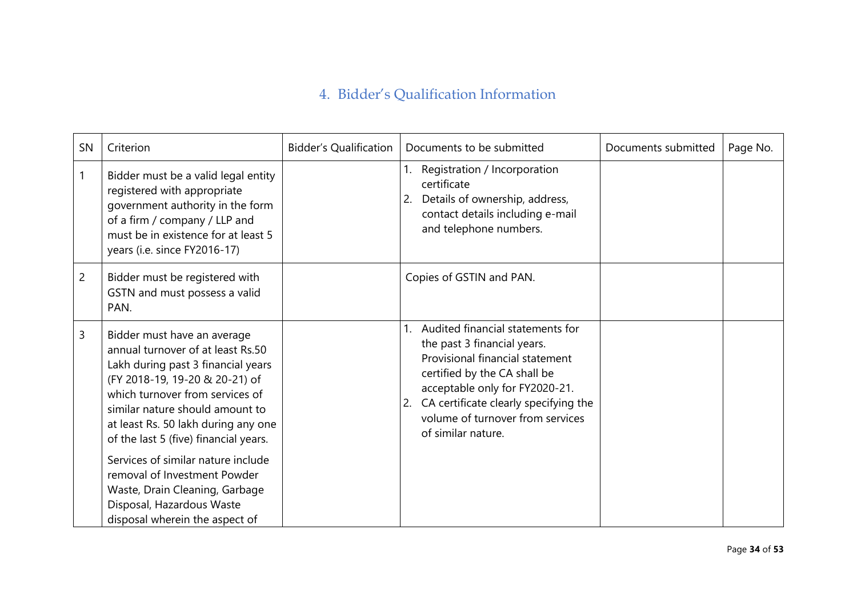# 4. Bidder's Qualification Information

| SN             | Criterion                                                                                                                                                                                                                                                                                      | <b>Bidder's Qualification</b> | Documents to be submitted                                                                                                                                                                                                                                                     | Documents submitted | Page No. |
|----------------|------------------------------------------------------------------------------------------------------------------------------------------------------------------------------------------------------------------------------------------------------------------------------------------------|-------------------------------|-------------------------------------------------------------------------------------------------------------------------------------------------------------------------------------------------------------------------------------------------------------------------------|---------------------|----------|
| 1              | Bidder must be a valid legal entity<br>registered with appropriate<br>government authority in the form<br>of a firm / company / LLP and<br>must be in existence for at least 5<br>years (i.e. since FY2016-17)                                                                                 |                               | Registration / Incorporation<br>certificate<br>Details of ownership, address,<br>2.<br>contact details including e-mail<br>and telephone numbers.                                                                                                                             |                     |          |
| $\overline{c}$ | Bidder must be registered with<br>GSTN and must possess a valid<br>PAN.                                                                                                                                                                                                                        |                               | Copies of GSTIN and PAN.                                                                                                                                                                                                                                                      |                     |          |
| 3              | Bidder must have an average<br>annual turnover of at least Rs.50<br>Lakh during past 3 financial years<br>(FY 2018-19, 19-20 & 20-21) of<br>which turnover from services of<br>similar nature should amount to<br>at least Rs. 50 lakh during any one<br>of the last 5 (five) financial years. |                               | Audited financial statements for<br>the past 3 financial years.<br>Provisional financial statement<br>certified by the CA shall be<br>acceptable only for FY2020-21.<br>CA certificate clearly specifying the<br>2.<br>volume of turnover from services<br>of similar nature. |                     |          |
|                | Services of similar nature include<br>removal of Investment Powder<br>Waste, Drain Cleaning, Garbage<br>Disposal, Hazardous Waste<br>disposal wherein the aspect of                                                                                                                            |                               |                                                                                                                                                                                                                                                                               |                     |          |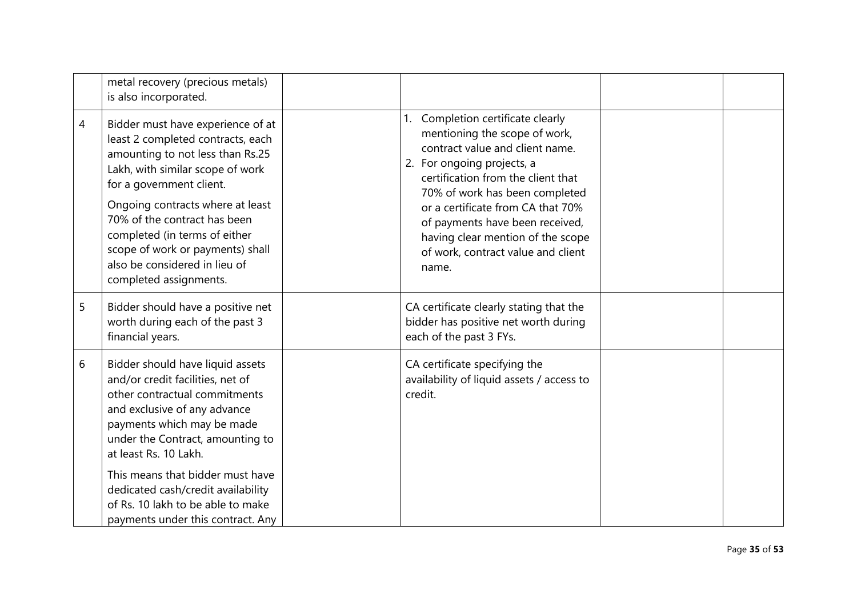|   | metal recovery (precious metals)<br>is also incorporated.                                                                                                                                                                                                                                                                                                                            |                                                                                                                                                                                                                                                                                                                                                                            |  |
|---|--------------------------------------------------------------------------------------------------------------------------------------------------------------------------------------------------------------------------------------------------------------------------------------------------------------------------------------------------------------------------------------|----------------------------------------------------------------------------------------------------------------------------------------------------------------------------------------------------------------------------------------------------------------------------------------------------------------------------------------------------------------------------|--|
| 4 | Bidder must have experience of at<br>least 2 completed contracts, each<br>amounting to not less than Rs.25<br>Lakh, with similar scope of work<br>for a government client.<br>Ongoing contracts where at least<br>70% of the contract has been<br>completed (in terms of either<br>scope of work or payments) shall<br>also be considered in lieu of<br>completed assignments.       | Completion certificate clearly<br>1.<br>mentioning the scope of work,<br>contract value and client name.<br>2. For ongoing projects, a<br>certification from the client that<br>70% of work has been completed<br>or a certificate from CA that 70%<br>of payments have been received,<br>having clear mention of the scope<br>of work, contract value and client<br>name. |  |
| 5 | Bidder should have a positive net<br>worth during each of the past 3<br>financial years.                                                                                                                                                                                                                                                                                             | CA certificate clearly stating that the<br>bidder has positive net worth during<br>each of the past 3 FYs.                                                                                                                                                                                                                                                                 |  |
| 6 | Bidder should have liquid assets<br>and/or credit facilities, net of<br>other contractual commitments<br>and exclusive of any advance<br>payments which may be made<br>under the Contract, amounting to<br>at least Rs. 10 Lakh.<br>This means that bidder must have<br>dedicated cash/credit availability<br>of Rs. 10 lakh to be able to make<br>payments under this contract. Any | CA certificate specifying the<br>availability of liquid assets / access to<br>credit.                                                                                                                                                                                                                                                                                      |  |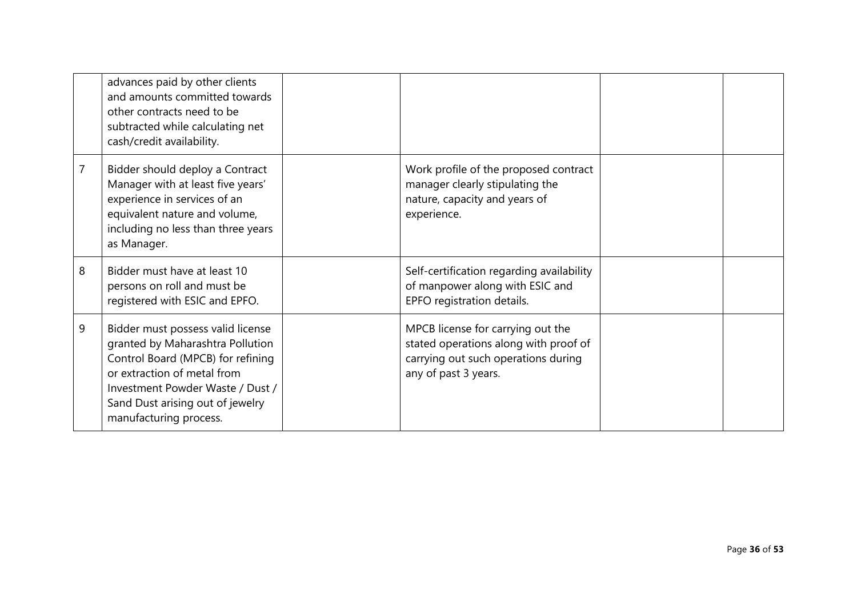|   | advances paid by other clients<br>and amounts committed towards<br>other contracts need to be<br>subtracted while calculating net<br>cash/credit availability.                                                                              |                                                                                                                                           |  |
|---|---------------------------------------------------------------------------------------------------------------------------------------------------------------------------------------------------------------------------------------------|-------------------------------------------------------------------------------------------------------------------------------------------|--|
|   | Bidder should deploy a Contract<br>Manager with at least five years'<br>experience in services of an<br>equivalent nature and volume,<br>including no less than three years<br>as Manager.                                                  | Work profile of the proposed contract<br>manager clearly stipulating the<br>nature, capacity and years of<br>experience.                  |  |
| 8 | Bidder must have at least 10<br>persons on roll and must be<br>registered with ESIC and EPFO.                                                                                                                                               | Self-certification regarding availability<br>of manpower along with ESIC and<br>EPFO registration details.                                |  |
| 9 | Bidder must possess valid license<br>granted by Maharashtra Pollution<br>Control Board (MPCB) for refining<br>or extraction of metal from<br>Investment Powder Waste / Dust /<br>Sand Dust arising out of jewelry<br>manufacturing process. | MPCB license for carrying out the<br>stated operations along with proof of<br>carrying out such operations during<br>any of past 3 years. |  |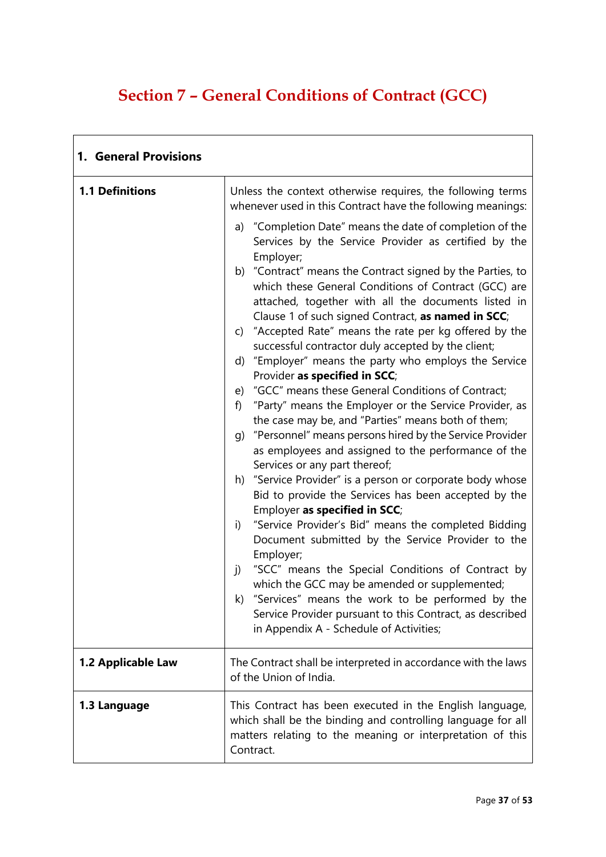# **Section 7 – General Conditions of Contract (GCC)**

| 1. General Provisions  |                                                                                                                                                                                                                                                                                                                                                                                                                                                                                                                                                                                                                                                                                                                                                                                                                                                                                                                                                                                                                                                                                                                                                                                                                                                                                                                                                                                                                                                                                                                                                                                                              |  |
|------------------------|--------------------------------------------------------------------------------------------------------------------------------------------------------------------------------------------------------------------------------------------------------------------------------------------------------------------------------------------------------------------------------------------------------------------------------------------------------------------------------------------------------------------------------------------------------------------------------------------------------------------------------------------------------------------------------------------------------------------------------------------------------------------------------------------------------------------------------------------------------------------------------------------------------------------------------------------------------------------------------------------------------------------------------------------------------------------------------------------------------------------------------------------------------------------------------------------------------------------------------------------------------------------------------------------------------------------------------------------------------------------------------------------------------------------------------------------------------------------------------------------------------------------------------------------------------------------------------------------------------------|--|
| <b>1.1 Definitions</b> | Unless the context otherwise requires, the following terms<br>whenever used in this Contract have the following meanings:<br>a) "Completion Date" means the date of completion of the<br>Services by the Service Provider as certified by the<br>Employer;<br>b) "Contract" means the Contract signed by the Parties, to<br>which these General Conditions of Contract (GCC) are<br>attached, together with all the documents listed in<br>Clause 1 of such signed Contract, as named in SCC;<br>c) "Accepted Rate" means the rate per kg offered by the<br>successful contractor duly accepted by the client;<br>d) "Employer" means the party who employs the Service<br>Provider as specified in SCC;<br>e) "GCC" means these General Conditions of Contract;<br>"Party" means the Employer or the Service Provider, as<br>f)<br>the case may be, and "Parties" means both of them;<br>g) "Personnel" means persons hired by the Service Provider<br>as employees and assigned to the performance of the<br>Services or any part thereof;<br>h) "Service Provider" is a person or corporate body whose<br>Bid to provide the Services has been accepted by the<br>Employer as specified in SCC;<br>"Service Provider's Bid" means the completed Bidding<br>i)<br>Document submitted by the Service Provider to the<br>Employer;<br>"SCC" means the Special Conditions of Contract by<br>j)<br>which the GCC may be amended or supplemented;<br>k) "Services" means the work to be performed by the<br>Service Provider pursuant to this Contract, as described<br>in Appendix A - Schedule of Activities; |  |
| 1.2 Applicable Law     | The Contract shall be interpreted in accordance with the laws<br>of the Union of India.                                                                                                                                                                                                                                                                                                                                                                                                                                                                                                                                                                                                                                                                                                                                                                                                                                                                                                                                                                                                                                                                                                                                                                                                                                                                                                                                                                                                                                                                                                                      |  |
| 1.3 Language           | This Contract has been executed in the English language,<br>which shall be the binding and controlling language for all<br>matters relating to the meaning or interpretation of this<br>Contract.                                                                                                                                                                                                                                                                                                                                                                                                                                                                                                                                                                                                                                                                                                                                                                                                                                                                                                                                                                                                                                                                                                                                                                                                                                                                                                                                                                                                            |  |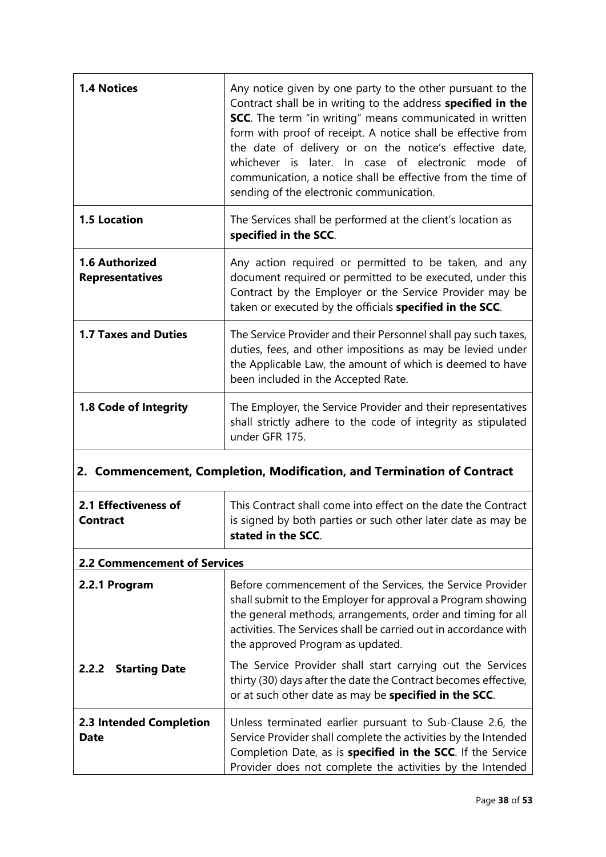| <b>1.4 Notices</b>                              | Any notice given by one party to the other pursuant to the<br>Contract shall be in writing to the address specified in the<br><b>SCC.</b> The term "in writing" means communicated in written<br>form with proof of receipt. A notice shall be effective from<br>the date of delivery or on the notice's effective date,<br>whichever is later. In case of electronic mode of<br>communication, a notice shall be effective from the time of<br>sending of the electronic communication. |  |
|-------------------------------------------------|------------------------------------------------------------------------------------------------------------------------------------------------------------------------------------------------------------------------------------------------------------------------------------------------------------------------------------------------------------------------------------------------------------------------------------------------------------------------------------------|--|
| <b>1.5 Location</b>                             | The Services shall be performed at the client's location as<br>specified in the SCC.                                                                                                                                                                                                                                                                                                                                                                                                     |  |
| <b>1.6 Authorized</b><br><b>Representatives</b> | Any action required or permitted to be taken, and any<br>document required or permitted to be executed, under this<br>Contract by the Employer or the Service Provider may be<br>taken or executed by the officials specified in the SCC.                                                                                                                                                                                                                                                |  |
| <b>1.7 Taxes and Duties</b>                     | The Service Provider and their Personnel shall pay such taxes,<br>duties, fees, and other impositions as may be levied under<br>the Applicable Law, the amount of which is deemed to have<br>been included in the Accepted Rate.                                                                                                                                                                                                                                                         |  |
| 1.8 Code of Integrity                           | The Employer, the Service Provider and their representatives<br>shall strictly adhere to the code of integrity as stipulated<br>under GFR 175.                                                                                                                                                                                                                                                                                                                                           |  |

# **2. Commencement, Completion, Modification, and Termination of Contract**

| 2.1 Effectiveness of<br>Contract       | This Contract shall come into effect on the date the Contract<br>is signed by both parties or such other later date as may be<br>stated in the SCC.                                                                                                                                             |
|----------------------------------------|-------------------------------------------------------------------------------------------------------------------------------------------------------------------------------------------------------------------------------------------------------------------------------------------------|
| <b>2.2 Commencement of Services</b>    |                                                                                                                                                                                                                                                                                                 |
| 2.2.1 Program                          | Before commencement of the Services, the Service Provider<br>shall submit to the Employer for approval a Program showing<br>the general methods, arrangements, order and timing for all<br>activities. The Services shall be carried out in accordance with<br>the approved Program as updated. |
| <b>Starting Date</b><br>2.2.2          | The Service Provider shall start carrying out the Services<br>thirty (30) days after the date the Contract becomes effective,<br>or at such other date as may be specified in the SCC.                                                                                                          |
| 2.3 Intended Completion<br><b>Date</b> | Unless terminated earlier pursuant to Sub-Clause 2.6, the<br>Service Provider shall complete the activities by the Intended<br>Completion Date, as is specified in the SCC. If the Service<br>Provider does not complete the activities by the Intended                                         |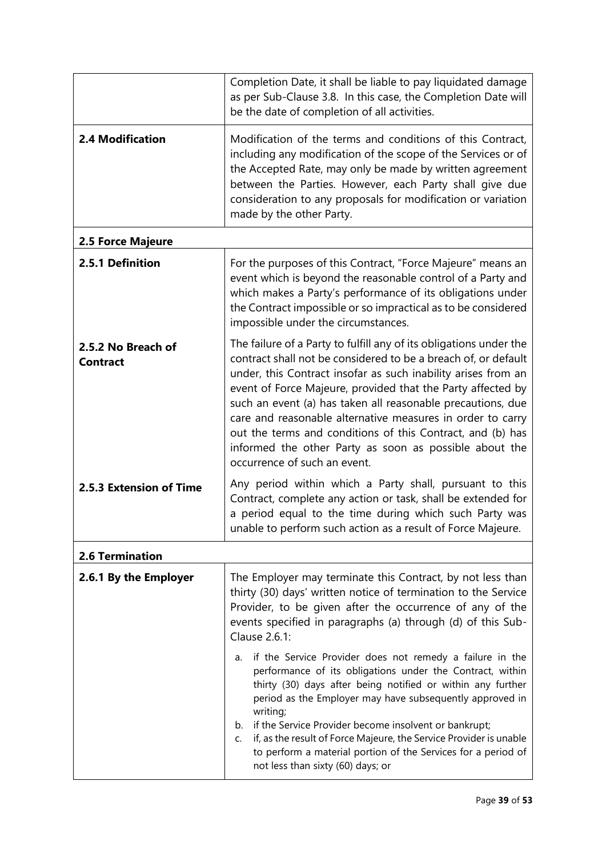|                                       | Completion Date, it shall be liable to pay liquidated damage<br>as per Sub-Clause 3.8. In this case, the Completion Date will<br>be the date of completion of all activities.                                                                                                                                                                                                                                                                                                                                                                             |  |
|---------------------------------------|-----------------------------------------------------------------------------------------------------------------------------------------------------------------------------------------------------------------------------------------------------------------------------------------------------------------------------------------------------------------------------------------------------------------------------------------------------------------------------------------------------------------------------------------------------------|--|
| <b>2.4 Modification</b>               | Modification of the terms and conditions of this Contract,<br>including any modification of the scope of the Services or of<br>the Accepted Rate, may only be made by written agreement<br>between the Parties. However, each Party shall give due<br>consideration to any proposals for modification or variation<br>made by the other Party.                                                                                                                                                                                                            |  |
| 2.5 Force Majeure                     |                                                                                                                                                                                                                                                                                                                                                                                                                                                                                                                                                           |  |
| 2.5.1 Definition                      | For the purposes of this Contract, "Force Majeure" means an<br>event which is beyond the reasonable control of a Party and<br>which makes a Party's performance of its obligations under<br>the Contract impossible or so impractical as to be considered<br>impossible under the circumstances.                                                                                                                                                                                                                                                          |  |
| 2.5.2 No Breach of<br><b>Contract</b> | The failure of a Party to fulfill any of its obligations under the<br>contract shall not be considered to be a breach of, or default<br>under, this Contract insofar as such inability arises from an<br>event of Force Majeure, provided that the Party affected by<br>such an event (a) has taken all reasonable precautions, due<br>care and reasonable alternative measures in order to carry<br>out the terms and conditions of this Contract, and (b) has<br>informed the other Party as soon as possible about the<br>occurrence of such an event. |  |
| 2.5.3 Extension of Time               | Any period within which a Party shall, pursuant to this<br>Contract, complete any action or task, shall be extended for<br>a period equal to the time during which such Party was<br>unable to perform such action as a result of Force Majeure.                                                                                                                                                                                                                                                                                                          |  |
| <b>2.6 Termination</b>                |                                                                                                                                                                                                                                                                                                                                                                                                                                                                                                                                                           |  |
| 2.6.1 By the Employer                 | The Employer may terminate this Contract, by not less than<br>thirty (30) days' written notice of termination to the Service<br>Provider, to be given after the occurrence of any of the<br>events specified in paragraphs (a) through (d) of this Sub-<br>Clause 2.6.1:                                                                                                                                                                                                                                                                                  |  |
|                                       | if the Service Provider does not remedy a failure in the<br>a.<br>performance of its obligations under the Contract, within<br>thirty (30) days after being notified or within any further<br>period as the Employer may have subsequently approved in<br>writing;<br>b. if the Service Provider become insolvent or bankrupt;<br>if, as the result of Force Majeure, the Service Provider is unable<br>C.<br>to perform a material portion of the Services for a period of<br>not less than sixty (60) days; or                                          |  |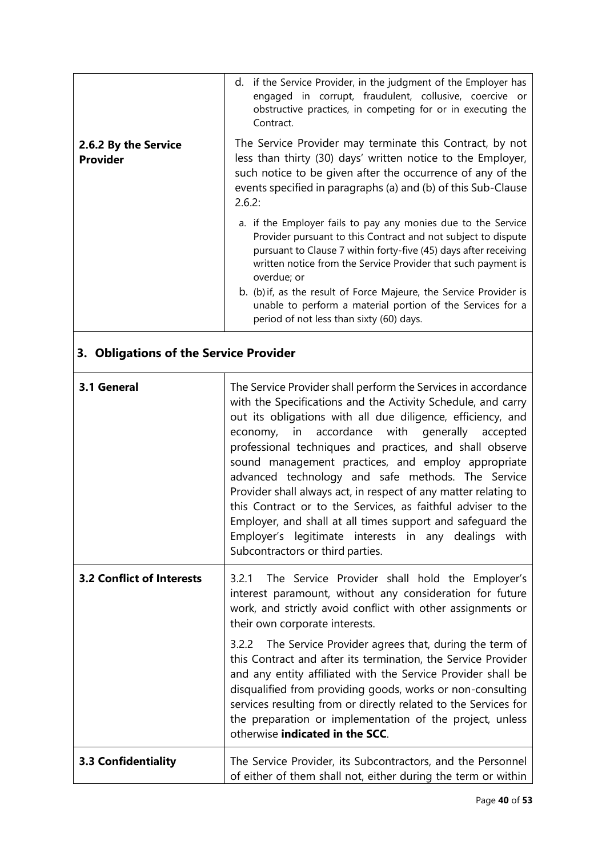| 2.6.2 By the Service<br><b>Provider</b> | d. if the Service Provider, in the judgment of the Employer has<br>engaged in corrupt, fraudulent, collusive, coercive or<br>obstructive practices, in competing for or in executing the<br>Contract.<br>The Service Provider may terminate this Contract, by not<br>less than thirty (30) days' written notice to the Employer,<br>such notice to be given after the occurrence of any of the<br>events specified in paragraphs (a) and (b) of this Sub-Clause<br>2.6.2:<br>a. if the Employer fails to pay any monies due to the Service<br>Provider pursuant to this Contract and not subject to dispute<br>pursuant to Clause 7 within forty-five (45) days after receiving<br>written notice from the Service Provider that such payment is<br>overdue; or<br>b. (b) if, as the result of Force Majeure, the Service Provider is<br>unable to perform a material portion of the Services for a<br>period of not less than sixty (60) days. |  |  |
|-----------------------------------------|-------------------------------------------------------------------------------------------------------------------------------------------------------------------------------------------------------------------------------------------------------------------------------------------------------------------------------------------------------------------------------------------------------------------------------------------------------------------------------------------------------------------------------------------------------------------------------------------------------------------------------------------------------------------------------------------------------------------------------------------------------------------------------------------------------------------------------------------------------------------------------------------------------------------------------------------------|--|--|
| 3. Obligations of the Service Provider  |                                                                                                                                                                                                                                                                                                                                                                                                                                                                                                                                                                                                                                                                                                                                                                                                                                                                                                                                                 |  |  |
| 3.1 General                             | The Service Provider shall perform the Services in accordance<br>with the Specifications and the Activity Schedule, and carry<br>out its obligations with all due diligence, efficiency, and<br>accordance<br>with<br>generally<br>economy,<br>in<br>accepted<br>professional techniques and practices, and shall observe<br>sound management practices, and employ appropriate<br>advanced technology and safe methods. The Service<br>Provider shall always act, in respect of any matter relating to<br>this Contract or to the Services, as faithful adviser to the<br>Employer, and shall at all times support and safeguard the<br>Employer's legitimate interests in any dealings with<br>Subcontractors or third parties.                                                                                                                                                                                                               |  |  |
| <b>3.2 Conflict of Interests</b>        | The Service Provider shall hold the Employer's<br>3.2.1<br>interest paramount, without any consideration for future<br>work, and strictly avoid conflict with other assignments or<br>their own corporate interests.                                                                                                                                                                                                                                                                                                                                                                                                                                                                                                                                                                                                                                                                                                                            |  |  |
|                                         | 3.2.2 The Service Provider agrees that, during the term of<br>this Contract and after its termination, the Service Provider<br>and any entity affiliated with the Service Provider shall be<br>disqualified from providing goods, works or non-consulting<br>services resulting from or directly related to the Services for<br>the preparation or implementation of the project, unless<br>otherwise indicated in the SCC.                                                                                                                                                                                                                                                                                                                                                                                                                                                                                                                     |  |  |
| <b>3.3 Confidentiality</b>              | The Service Provider, its Subcontractors, and the Personnel<br>of either of them shall not, either during the term or within                                                                                                                                                                                                                                                                                                                                                                                                                                                                                                                                                                                                                                                                                                                                                                                                                    |  |  |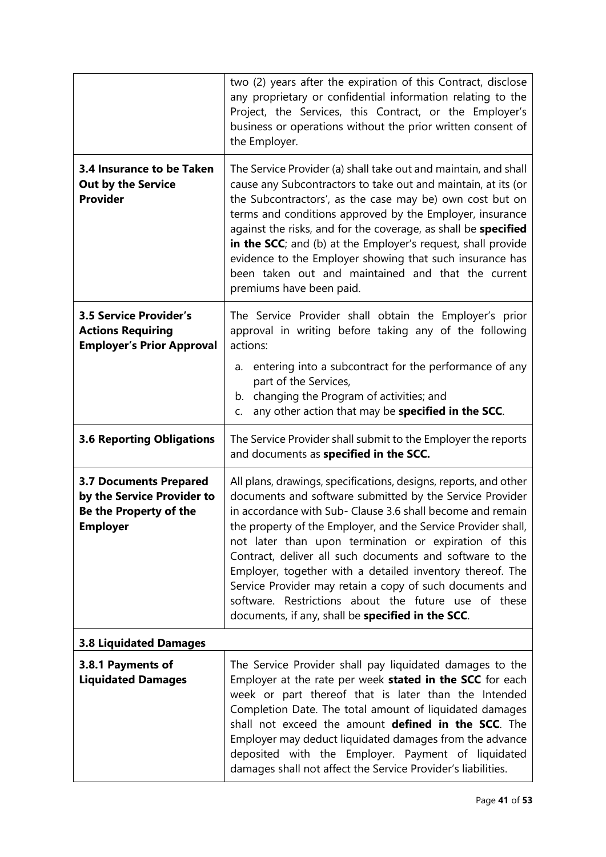|                                                                                                          | two (2) years after the expiration of this Contract, disclose<br>any proprietary or confidential information relating to the<br>Project, the Services, this Contract, or the Employer's<br>business or operations without the prior written consent of<br>the Employer.                                                                                                                                                                                                                                                                                                                                                |  |
|----------------------------------------------------------------------------------------------------------|------------------------------------------------------------------------------------------------------------------------------------------------------------------------------------------------------------------------------------------------------------------------------------------------------------------------------------------------------------------------------------------------------------------------------------------------------------------------------------------------------------------------------------------------------------------------------------------------------------------------|--|
| 3.4 Insurance to be Taken<br><b>Out by the Service</b><br><b>Provider</b>                                | The Service Provider (a) shall take out and maintain, and shall<br>cause any Subcontractors to take out and maintain, at its (or<br>the Subcontractors', as the case may be) own cost but on<br>terms and conditions approved by the Employer, insurance<br>against the risks, and for the coverage, as shall be specified<br>in the SCC; and (b) at the Employer's request, shall provide<br>evidence to the Employer showing that such insurance has<br>been taken out and maintained and that the current<br>premiums have been paid.                                                                               |  |
| <b>3.5 Service Provider's</b><br><b>Actions Requiring</b><br><b>Employer's Prior Approval</b>            | The Service Provider shall obtain the Employer's prior<br>approval in writing before taking any of the following<br>actions:<br>entering into a subcontract for the performance of any<br>а.<br>part of the Services,<br>changing the Program of activities; and<br>b.<br>any other action that may be specified in the SCC.<br>C.                                                                                                                                                                                                                                                                                     |  |
| <b>3.6 Reporting Obligations</b>                                                                         | The Service Provider shall submit to the Employer the reports<br>and documents as specified in the SCC.                                                                                                                                                                                                                                                                                                                                                                                                                                                                                                                |  |
| <b>3.7 Documents Prepared</b><br>by the Service Provider to<br>Be the Property of the<br><b>Employer</b> | All plans, drawings, specifications, designs, reports, and other<br>documents and software submitted by the Service Provider<br>in accordance with Sub- Clause 3.6 shall become and remain<br>the property of the Employer, and the Service Provider shall,<br>not later than upon termination or expiration of this<br>Contract, deliver all such documents and software to the<br>Employer, together with a detailed inventory thereof. The<br>Service Provider may retain a copy of such documents and<br>software. Restrictions about the future use of these<br>documents, if any, shall be specified in the SCC. |  |
| <b>3.8 Liquidated Damages</b>                                                                            |                                                                                                                                                                                                                                                                                                                                                                                                                                                                                                                                                                                                                        |  |
| 3.8.1 Payments of<br><b>Liquidated Damages</b>                                                           | The Service Provider shall pay liquidated damages to the<br>Employer at the rate per week stated in the SCC for each<br>week or part thereof that is later than the Intended<br>Completion Date. The total amount of liquidated damages<br>shall not exceed the amount defined in the SCC. The<br>Employer may deduct liquidated damages from the advance<br>deposited with the Employer. Payment of liquidated<br>damages shall not affect the Service Provider's liabilities.                                                                                                                                        |  |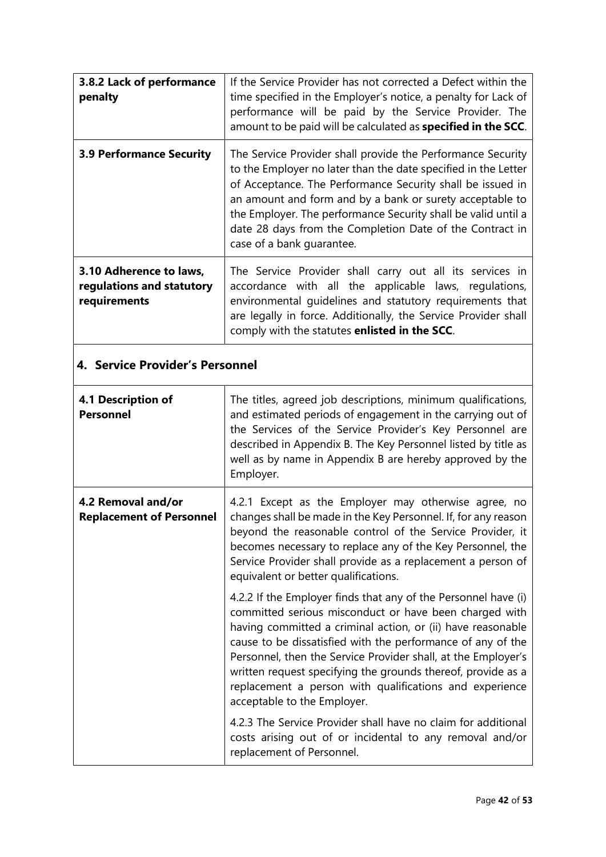| 3.8.2 Lack of performance<br>penalty                                 | If the Service Provider has not corrected a Defect within the<br>time specified in the Employer's notice, a penalty for Lack of<br>performance will be paid by the Service Provider. The<br>amount to be paid will be calculated as specified in the SCC.                                                                                                                                                         |  |
|----------------------------------------------------------------------|-------------------------------------------------------------------------------------------------------------------------------------------------------------------------------------------------------------------------------------------------------------------------------------------------------------------------------------------------------------------------------------------------------------------|--|
| <b>3.9 Performance Security</b>                                      | The Service Provider shall provide the Performance Security<br>to the Employer no later than the date specified in the Letter<br>of Acceptance. The Performance Security shall be issued in<br>an amount and form and by a bank or surety acceptable to<br>the Employer. The performance Security shall be valid until a<br>date 28 days from the Completion Date of the Contract in<br>case of a bank quarantee. |  |
| 3.10 Adherence to laws,<br>regulations and statutory<br>requirements | The Service Provider shall carry out all its services in<br>accordance with all the applicable laws, regulations,<br>environmental guidelines and statutory requirements that<br>are legally in force. Additionally, the Service Provider shall<br>comply with the statutes enlisted in the SCC.                                                                                                                  |  |
| 4. Service Provider's Personnel                                      |                                                                                                                                                                                                                                                                                                                                                                                                                   |  |
| 4.1 Description of<br><b>Personnel</b>                               | The titles, agreed job descriptions, minimum qualifications,<br>and estimated periods of engagement in the carrying out of<br>the Services of the Service Provider's Key Personnel are<br>described in Appendix B. The Key Personnel listed by title as<br>well as by name in Appendix B are hereby approved by the<br>Employer.                                                                                  |  |
| 4.2 Removal and/or                                                   | 4.2.1 Except as the Employer may otherwise agree, no                                                                                                                                                                                                                                                                                                                                                              |  |

|                                                       | acserbed in ripperially B. The Rey Fersonnel iisted by title as<br>well as by name in Appendix B are hereby approved by the<br>Employer.                                                                                                                                                                                                                                                                                                                                          |
|-------------------------------------------------------|-----------------------------------------------------------------------------------------------------------------------------------------------------------------------------------------------------------------------------------------------------------------------------------------------------------------------------------------------------------------------------------------------------------------------------------------------------------------------------------|
| 4.2 Removal and/or<br><b>Replacement of Personnel</b> | 4.2.1 Except as the Employer may otherwise agree, no<br>changes shall be made in the Key Personnel. If, for any reason<br>beyond the reasonable control of the Service Provider, it<br>becomes necessary to replace any of the Key Personnel, the<br>Service Provider shall provide as a replacement a person of<br>equivalent or better qualifications.                                                                                                                          |
|                                                       | 4.2.2 If the Employer finds that any of the Personnel have (i)<br>committed serious misconduct or have been charged with<br>having committed a criminal action, or (ii) have reasonable<br>cause to be dissatisfied with the performance of any of the<br>Personnel, then the Service Provider shall, at the Employer's<br>written request specifying the grounds thereof, provide as a<br>replacement a person with qualifications and experience<br>acceptable to the Employer. |
|                                                       | 4.2.3 The Service Provider shall have no claim for additional<br>costs arising out of or incidental to any removal and/or<br>replacement of Personnel.                                                                                                                                                                                                                                                                                                                            |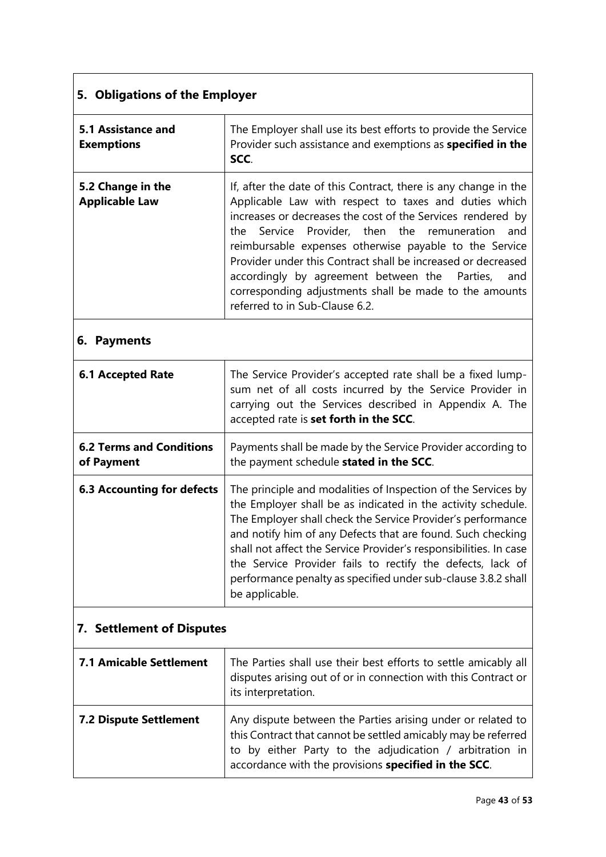# **5. Obligations of the Employer**

| 5.1 Assistance and<br><b>Exemptions</b>    | The Employer shall use its best efforts to provide the Service<br>Provider such assistance and exemptions as specified in the<br>SCC.                                                                                                                                                                                                                                                                                                                                                                                 |
|--------------------------------------------|-----------------------------------------------------------------------------------------------------------------------------------------------------------------------------------------------------------------------------------------------------------------------------------------------------------------------------------------------------------------------------------------------------------------------------------------------------------------------------------------------------------------------|
| 5.2 Change in the<br><b>Applicable Law</b> | If, after the date of this Contract, there is any change in the<br>Applicable Law with respect to taxes and duties which<br>increases or decreases the cost of the Services rendered by<br>the Service Provider, then the remuneration and<br>reimbursable expenses otherwise payable to the Service<br>Provider under this Contract shall be increased or decreased<br>accordingly by agreement between the Parties, and<br>corresponding adjustments shall be made to the amounts<br>referred to in Sub-Clause 6.2. |

## **6. Payments**

| <b>6.1 Accepted Rate</b>                      | The Service Provider's accepted rate shall be a fixed lump-<br>sum net of all costs incurred by the Service Provider in<br>carrying out the Services described in Appendix A. The<br>accepted rate is set forth in the SCC.                                                                                                                                                                                                                                                       |
|-----------------------------------------------|-----------------------------------------------------------------------------------------------------------------------------------------------------------------------------------------------------------------------------------------------------------------------------------------------------------------------------------------------------------------------------------------------------------------------------------------------------------------------------------|
| <b>6.2 Terms and Conditions</b><br>of Payment | Payments shall be made by the Service Provider according to<br>the payment schedule stated in the SCC.                                                                                                                                                                                                                                                                                                                                                                            |
| <b>6.3 Accounting for defects</b>             | The principle and modalities of Inspection of the Services by<br>the Employer shall be as indicated in the activity schedule.<br>The Employer shall check the Service Provider's performance<br>and notify him of any Defects that are found. Such checking<br>shall not affect the Service Provider's responsibilities. In case<br>the Service Provider fails to rectify the defects, lack of<br>performance penalty as specified under sub-clause 3.8.2 shall<br>be applicable. |

# **7. Settlement of Disputes**

| <b>7.1 Amicable Settlement</b> | The Parties shall use their best efforts to settle amicably all<br>disputes arising out of or in connection with this Contract or                                                                                                                                      |
|--------------------------------|------------------------------------------------------------------------------------------------------------------------------------------------------------------------------------------------------------------------------------------------------------------------|
| <b>7.2 Dispute Settlement</b>  | its interpretation.<br>Any dispute between the Parties arising under or related to<br>this Contract that cannot be settled amicably may be referred<br>to by either Party to the adjudication / arbitration in<br>accordance with the provisions specified in the SCC. |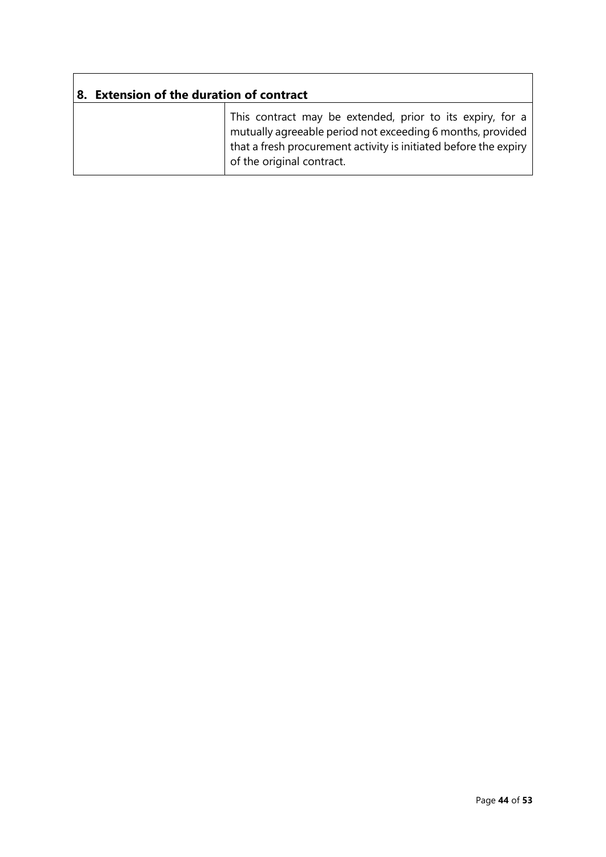| <b>Extension of the duration of contract</b> |                                                                                                                                                                                                                          |  |
|----------------------------------------------|--------------------------------------------------------------------------------------------------------------------------------------------------------------------------------------------------------------------------|--|
|                                              | This contract may be extended, prior to its expiry, for a<br>mutually agreeable period not exceeding 6 months, provided<br>that a fresh procurement activity is initiated before the expiry<br>of the original contract. |  |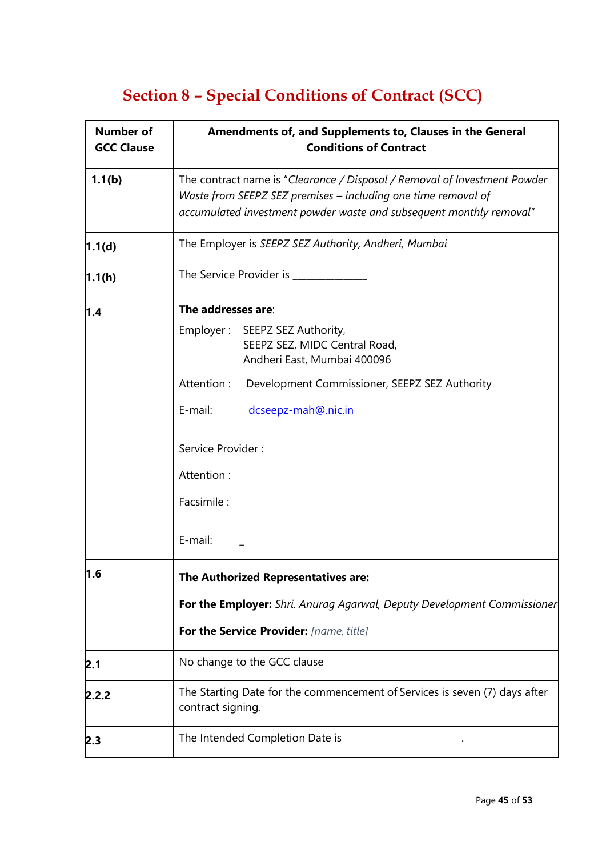# **Section 8 – Special Conditions of Contract (SCC)**

| <b>Number of</b><br><b>GCC Clause</b> | Amendments of, and Supplements to, Clauses in the General<br><b>Conditions of Contract</b>                                                                                                                        |
|---------------------------------------|-------------------------------------------------------------------------------------------------------------------------------------------------------------------------------------------------------------------|
| 1.1(b)                                | The contract name is "Clearance / Disposal / Removal of Investment Powder<br>Waste from SEEPZ SEZ premises - including one time removal of<br>accumulated investment powder waste and subsequent monthly removal" |
| 1.1(d)                                | The Employer is SEEPZ SEZ Authority, Andheri, Mumbai                                                                                                                                                              |
| 1.1(h)                                | The Service Provider is ___________                                                                                                                                                                               |
| 1.4                                   | The addresses are:                                                                                                                                                                                                |
|                                       | Employer: SEEPZ SEZ Authority,<br>SEEPZ SEZ, MIDC Central Road,<br>Andheri East, Mumbai 400096                                                                                                                    |
|                                       | Attention:<br>Development Commissioner, SEEPZ SEZ Authority                                                                                                                                                       |
|                                       | E-mail:<br>dcseepz-mah@.nic.in                                                                                                                                                                                    |
|                                       | Service Provider:                                                                                                                                                                                                 |
|                                       | Attention:                                                                                                                                                                                                        |
|                                       | Facsimile:                                                                                                                                                                                                        |
|                                       | E-mail:                                                                                                                                                                                                           |
| l1.6                                  | The Authorized Representatives are:                                                                                                                                                                               |
|                                       | For the Employer: Shri. Anurag Agarwal, Deputy Development Commissioner                                                                                                                                           |
|                                       |                                                                                                                                                                                                                   |
| 2.1                                   | No change to the GCC clause                                                                                                                                                                                       |
| 2.2.2                                 | The Starting Date for the commencement of Services is seven (7) days after<br>contract signing.                                                                                                                   |
| 2.3                                   | The Intended Completion Date is_                                                                                                                                                                                  |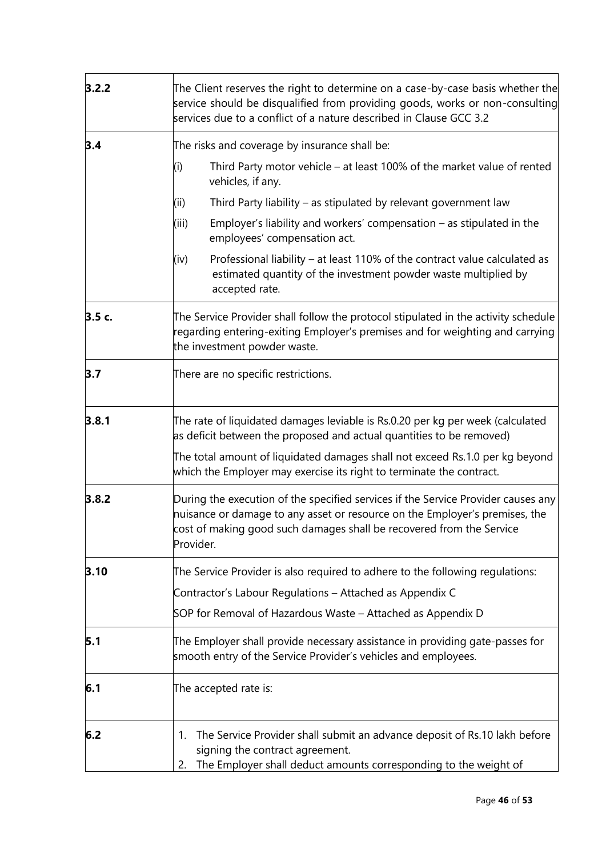| 3.2.2 | The Client reserves the right to determine on a case-by-case basis whether the<br>service should be disqualified from providing goods, works or non-consulting<br>services due to a conflict of a nature described in Clause GCC 3.2                  |  |
|-------|-------------------------------------------------------------------------------------------------------------------------------------------------------------------------------------------------------------------------------------------------------|--|
| 3.4   | The risks and coverage by insurance shall be:                                                                                                                                                                                                         |  |
|       | Third Party motor vehicle – at least 100% of the market value of rented<br>(i)<br>vehicles, if any.                                                                                                                                                   |  |
|       | Third Party liability – as stipulated by relevant government law<br>(ii)                                                                                                                                                                              |  |
|       | (iii)<br>Employer's liability and workers' compensation $-$ as stipulated in the<br>employees' compensation act.                                                                                                                                      |  |
|       | Professional liability - at least 110% of the contract value calculated as<br>(iv)<br>estimated quantity of the investment powder waste multiplied by<br>accepted rate.                                                                               |  |
| 3.5c. | The Service Provider shall follow the protocol stipulated in the activity schedule<br>regarding entering-exiting Employer's premises and for weighting and carrying<br>the investment powder waste.                                                   |  |
| 3.7   | There are no specific restrictions.                                                                                                                                                                                                                   |  |
| 3.8.1 | The rate of liquidated damages leviable is Rs.0.20 per kg per week (calculated<br>as deficit between the proposed and actual quantities to be removed)                                                                                                |  |
|       | The total amount of liquidated damages shall not exceed Rs.1.0 per kg beyond<br>which the Employer may exercise its right to terminate the contract.                                                                                                  |  |
| 3.8.2 | During the execution of the specified services if the Service Provider causes any<br>nuisance or damage to any asset or resource on the Employer's premises, the<br>cost of making good such damages shall be recovered from the Service<br>Provider. |  |
| 3.10  | The Service Provider is also required to adhere to the following regulations:                                                                                                                                                                         |  |
|       | Contractor's Labour Regulations - Attached as Appendix C                                                                                                                                                                                              |  |
|       | SOP for Removal of Hazardous Waste – Attached as Appendix D                                                                                                                                                                                           |  |
| 5.1   | The Employer shall provide necessary assistance in providing gate-passes for<br>smooth entry of the Service Provider's vehicles and employees.                                                                                                        |  |
| 6.1   | The accepted rate is:                                                                                                                                                                                                                                 |  |
| 6.2   | The Service Provider shall submit an advance deposit of Rs.10 lakh before<br>1.<br>signing the contract agreement.<br>The Employer shall deduct amounts corresponding to the weight of<br>2.                                                          |  |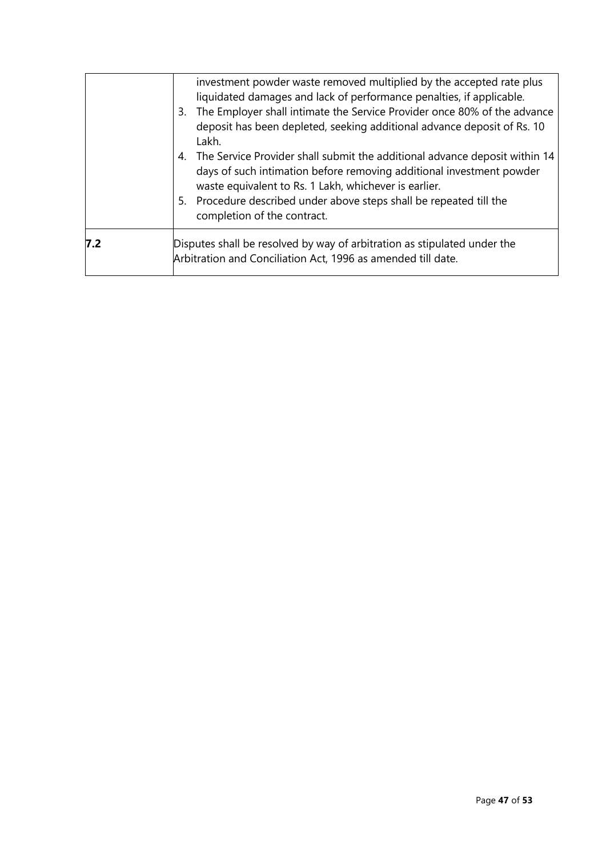|     | investment powder waste removed multiplied by the accepted rate plus<br>liquidated damages and lack of performance penalties, if applicable.<br>3. The Employer shall intimate the Service Provider once 80% of the advance<br>deposit has been depleted, seeking additional advance deposit of Rs. 10<br>Lakh.<br>4. The Service Provider shall submit the additional advance deposit within 14<br>days of such intimation before removing additional investment powder<br>waste equivalent to Rs. 1 Lakh, whichever is earlier.<br>5. Procedure described under above steps shall be repeated till the<br>completion of the contract. |
|-----|-----------------------------------------------------------------------------------------------------------------------------------------------------------------------------------------------------------------------------------------------------------------------------------------------------------------------------------------------------------------------------------------------------------------------------------------------------------------------------------------------------------------------------------------------------------------------------------------------------------------------------------------|
| 7.2 | Disputes shall be resolved by way of arbitration as stipulated under the<br>Arbitration and Conciliation Act, 1996 as amended till date.                                                                                                                                                                                                                                                                                                                                                                                                                                                                                                |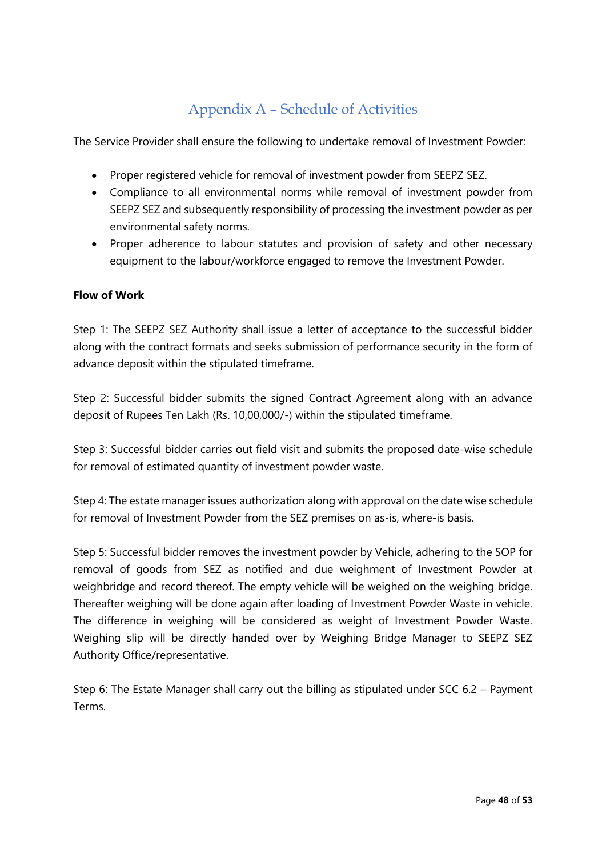## Appendix A – Schedule of Activities

The Service Provider shall ensure the following to undertake removal of Investment Powder:

- Proper registered vehicle for removal of investment powder from SEEPZ SEZ.
- Compliance to all environmental norms while removal of investment powder from SEEPZ SEZ and subsequently responsibility of processing the investment powder as per environmental safety norms.
- Proper adherence to labour statutes and provision of safety and other necessary equipment to the labour/workforce engaged to remove the Investment Powder.

### **Flow of Work**

Step 1: The SEEPZ SEZ Authority shall issue a letter of acceptance to the successful bidder along with the contract formats and seeks submission of performance security in the form of advance deposit within the stipulated timeframe.

Step 2: Successful bidder submits the signed Contract Agreement along with an advance deposit of Rupees Ten Lakh (Rs. 10,00,000/-) within the stipulated timeframe.

Step 3: Successful bidder carries out field visit and submits the proposed date-wise schedule for removal of estimated quantity of investment powder waste.

Step 4: The estate manager issues authorization along with approval on the date wise schedule for removal of Investment Powder from the SEZ premises on as-is, where-is basis.

Step 5: Successful bidder removes the investment powder by Vehicle, adhering to the SOP for removal of goods from SEZ as notified and due weighment of Investment Powder at weighbridge and record thereof. The empty vehicle will be weighed on the weighing bridge. Thereafter weighing will be done again after loading of Investment Powder Waste in vehicle. The difference in weighing will be considered as weight of Investment Powder Waste. Weighing slip will be directly handed over by Weighing Bridge Manager to SEEPZ SEZ Authority Office/representative.

Step 6: The Estate Manager shall carry out the billing as stipulated under SCC 6.2 – Payment Terms.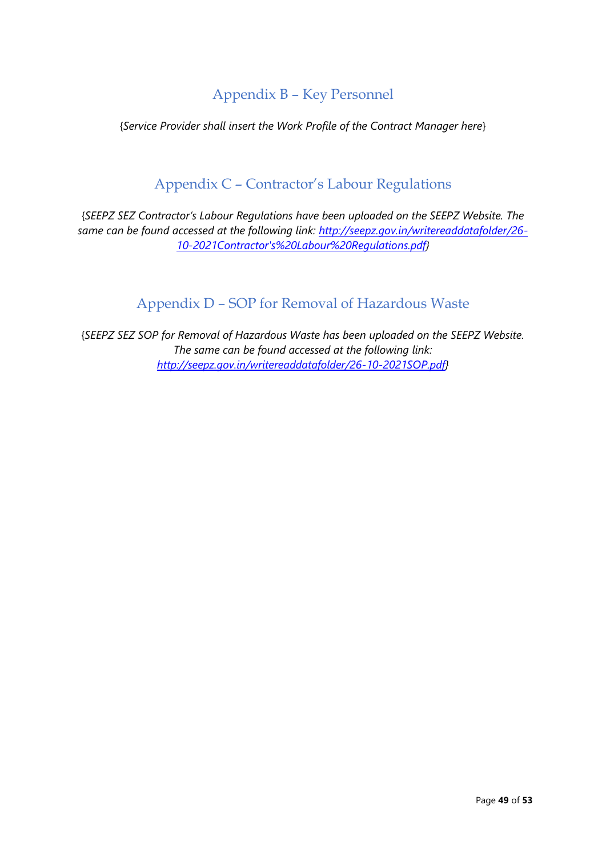### Appendix B – Key Personnel

{*Service Provider shall insert the Work Profile of the Contract Manager here*}

### Appendix C – Contractor's Labour Regulations

{*SEEPZ SEZ Contractor's Labour Regulations have been uploaded on the SEEPZ Website. The same can be found accessed at the following link: [http://seepz.gov.in/writereaddatafolder/26-](http://seepz.gov.in/writereaddatafolder/26-10-2021Contractor) [10-2021Contractor's%20Labour%20Regulations.pdf}](http://seepz.gov.in/writereaddatafolder/26-10-2021Contractor)*

### Appendix D – SOP for Removal of Hazardous Waste

{*SEEPZ SEZ SOP for Removal of Hazardous Waste has been uploaded on the SEEPZ Website. The same can be found accessed at the following link: [http://seepz.gov.in/writereaddatafolder/26-10-2021SOP.pdf}](http://seepz.gov.in/writereaddatafolder/26-10-2021SOP.pdf)*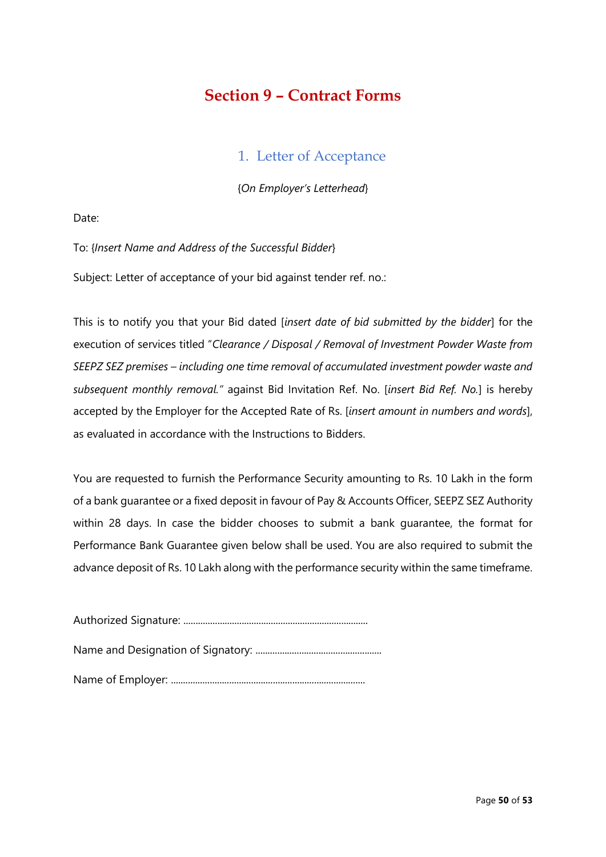## **Section 9 – Contract Forms**

### 1. Letter of Acceptance

{*On Employer's Letterhead*}

Date:

To: {*Insert Name and Address of the Successful Bidder*}

Subject: Letter of acceptance of your bid against tender ref. no.:

This is to notify you that your Bid dated [*insert date of bid submitted by the bidder*] for the execution of services titled "*Clearance / Disposal / Removal of Investment Powder Waste from SEEPZ SEZ premises – including one time removal of accumulated investment powder waste and subsequent monthly removal."* against Bid Invitation Ref. No. [*insert Bid Ref. No.*] is hereby accepted by the Employer for the Accepted Rate of Rs. [*insert amount in numbers and words*], as evaluated in accordance with the Instructions to Bidders.

You are requested to furnish the Performance Security amounting to Rs. 10 Lakh in the form of a bank guarantee or a fixed deposit in favour of Pay & Accounts Officer, SEEPZ SEZ Authority within 28 days. In case the bidder chooses to submit a bank guarantee, the format for Performance Bank Guarantee given below shall be used. You are also required to submit the advance deposit of Rs. 10 Lakh along with the performance security within the same timeframe.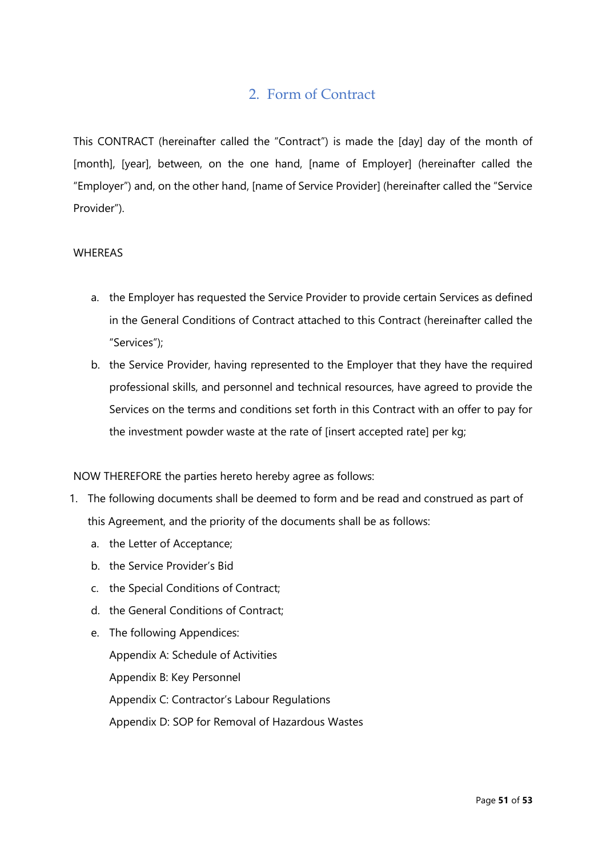### 2. Form of Contract

This CONTRACT (hereinafter called the "Contract") is made the [day] day of the month of [month], [year], between, on the one hand, [name of Employer] (hereinafter called the "Employer") and, on the other hand, [name of Service Provider] (hereinafter called the "Service Provider").

#### WHEREAS

- a. the Employer has requested the Service Provider to provide certain Services as defined in the General Conditions of Contract attached to this Contract (hereinafter called the "Services");
- b. the Service Provider, having represented to the Employer that they have the required professional skills, and personnel and technical resources, have agreed to provide the Services on the terms and conditions set forth in this Contract with an offer to pay for the investment powder waste at the rate of [insert accepted rate] per kg;

NOW THEREFORE the parties hereto hereby agree as follows:

- 1. The following documents shall be deemed to form and be read and construed as part of this Agreement, and the priority of the documents shall be as follows:
	- a. the Letter of Acceptance;
	- b. the Service Provider's Bid
	- c. the Special Conditions of Contract;
	- d. the General Conditions of Contract;
	- e. The following Appendices:

Appendix A: Schedule of Activities Appendix B: Key Personnel Appendix C: Contractor's Labour Regulations Appendix D: SOP for Removal of Hazardous Wastes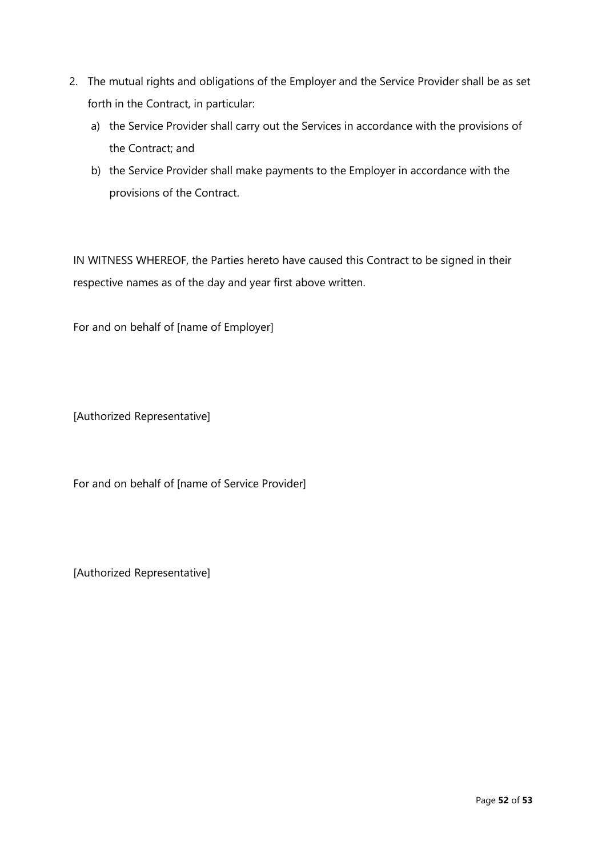- 2. The mutual rights and obligations of the Employer and the Service Provider shall be as set forth in the Contract, in particular:
	- a) the Service Provider shall carry out the Services in accordance with the provisions of the Contract; and
	- b) the Service Provider shall make payments to the Employer in accordance with the provisions of the Contract.

IN WITNESS WHEREOF, the Parties hereto have caused this Contract to be signed in their respective names as of the day and year first above written.

For and on behalf of [name of Employer]

[Authorized Representative]

For and on behalf of [name of Service Provider]

[Authorized Representative]